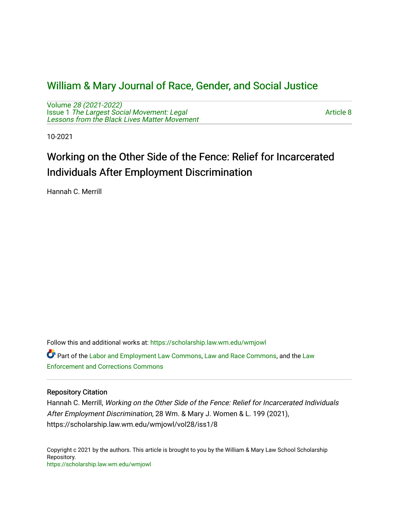## [William & Mary Journal of Race, Gender, and Social Justice](https://scholarship.law.wm.edu/wmjowl)

Volume [28 \(2021-2022\)](https://scholarship.law.wm.edu/wmjowl/vol28)  Issue 1 [The Largest Social Movement: Legal](https://scholarship.law.wm.edu/wmjowl/vol28/iss1) [Lessons from the Black Lives Matter Movement](https://scholarship.law.wm.edu/wmjowl/vol28/iss1) 

[Article 8](https://scholarship.law.wm.edu/wmjowl/vol28/iss1/8) 

10-2021

# Working on the Other Side of the Fence: Relief for Incarcerated Individuals After Employment Discrimination

Hannah C. Merrill

Follow this and additional works at: [https://scholarship.law.wm.edu/wmjowl](https://scholarship.law.wm.edu/wmjowl?utm_source=scholarship.law.wm.edu%2Fwmjowl%2Fvol28%2Fiss1%2F8&utm_medium=PDF&utm_campaign=PDFCoverPages) 

Part of the [Labor and Employment Law Commons](http://network.bepress.com/hgg/discipline/909?utm_source=scholarship.law.wm.edu%2Fwmjowl%2Fvol28%2Fiss1%2F8&utm_medium=PDF&utm_campaign=PDFCoverPages), [Law and Race Commons](http://network.bepress.com/hgg/discipline/1300?utm_source=scholarship.law.wm.edu%2Fwmjowl%2Fvol28%2Fiss1%2F8&utm_medium=PDF&utm_campaign=PDFCoverPages), and the [Law](http://network.bepress.com/hgg/discipline/854?utm_source=scholarship.law.wm.edu%2Fwmjowl%2Fvol28%2Fiss1%2F8&utm_medium=PDF&utm_campaign=PDFCoverPages)  [Enforcement and Corrections Commons](http://network.bepress.com/hgg/discipline/854?utm_source=scholarship.law.wm.edu%2Fwmjowl%2Fvol28%2Fiss1%2F8&utm_medium=PDF&utm_campaign=PDFCoverPages) 

## Repository Citation

Hannah C. Merrill, Working on the Other Side of the Fence: Relief for Incarcerated Individuals After Employment Discrimination, 28 Wm. & Mary J. Women & L. 199 (2021), https://scholarship.law.wm.edu/wmjowl/vol28/iss1/8

Copyright c 2021 by the authors. This article is brought to you by the William & Mary Law School Scholarship Repository. <https://scholarship.law.wm.edu/wmjowl>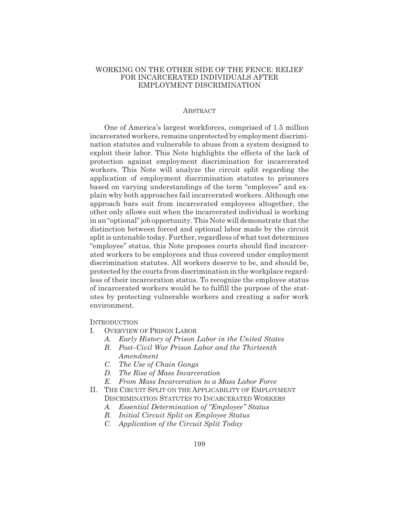## WORKING ON THE OTHER SIDE OF THE FENCE: RELIEF FOR INCARCERATED INDIVIDUALS AFTER EMPLOYMENT DISCRIMINATION

#### ABSTRACT

One of America's largest workforces, comprised of 1.5 million incarcerated workers, remains unprotected by employment discrimination statutes and vulnerable to abuse from a system designed to exploit their labor. This Note highlights the effects of the lack of protection against employment discrimination for incarcerated workers. This Note will analyze the circuit split regarding the application of employment discrimination statutes to prisoners based on varying understandings of the term "employee" and explain why both approaches fail incarcerated workers. Although one approach bars suit from incarcerated employees altogether, the other only allows suit when the incarcerated individual is working in an "optional" job opportunity. This Note will demonstrate that the distinction between forced and optional labor made by the circuit split is untenable today. Further, regardless of what test determines "employee" status, this Note proposes courts should find incarcerated workers to be employees and thus covered under employment discrimination statutes. All workers deserve to be, and should be, protected by the courts from discrimination in the workplace regardless of their incarceration status. To recognize the employee status of incarcerated workers would be to fulfill the purpose of the statutes by protecting vulnerable workers and creating a safer work environment.

**INTRODUCTION** 

- I. OVERVIEW OF PRISON LABOR
	- *A. Early History of Prison Labor in the United States*
	- *B. Post–Civil War Prison Labor and the Thirteenth Amendment*
	- *C. The Use of Chain Gangs*
	- *D. The Rise of Mass Incarceration*
	- *E. From Mass Incarceration to a Mass Labor Force*
- II. THE CIRCUIT SPLIT ON THE APPLICABILITY OF EMPLOYMENT DISCRIMINATION STATUTES TO INCARCERATED WORKERS
	- *A. Essential Determination of "Employee" Status*
	- *B. Initial Circuit Split on Employee Status*
	- *C. Application of the Circuit Split Today*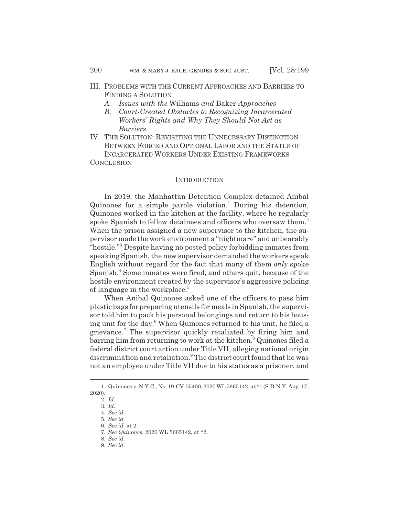- III. PROBLEMS WITH THE CURRENT APPROACHES AND BARRIERS TO FINDING A SOLUTION
	- *A. Issues with the* Williams *and* Baker *Approaches*
	- *B. Court-Created Obstacles to Recognizing Incarcerated Workers' Rights and Why They Should Not Act as Barriers*
- IV. THE SOLUTION: REVISITING THE UNNECESSARY DISTINCTION BETWEEN FORCED AND OPTIONAL LABOR AND THE STATUS OF INCARCERATED WORKERS UNDER EXISTING FRAMEWORKS **CONCLUSION**

#### **INTRODUCTION**

In 2019, the Manhattan Detention Complex detained Anibal  $Quinones$  for a simple parole violation.<sup>1</sup> During his detention, Quinones worked in the kitchen at the facility, where he regularly spoke Spanish to fellow detainees and officers who oversaw them.<sup>2</sup> When the prison assigned a new supervisor to the kitchen, the supervisor made the work environment a "nightmare" and unbearably "hostile."<sup>3</sup> Despite having no posted policy forbidding inmates from speaking Spanish, the new supervisor demanded the workers speak English without regard for the fact that many of them *only* spoke Spanish.<sup>4</sup> Some inmates were fired, and others quit, because of the hostile environment created by the supervisor's aggressive policing of language in the workplace.<sup>5</sup>

When Anibal Quinones asked one of the officers to pass him plastic bags for preparing utensils for meals in Spanish, the supervisor told him to pack his personal belongings and return to his housing unit for the day.6 When Quinones returned to his unit, he filed a grievance.<sup>7</sup> The supervisor quickly retaliated by firing him and barring him from returning to work at the kitchen.<sup>8</sup> Quinones filed a federal district court action under Title VII, alleging national origin discrimination and retaliation.<sup>9</sup> The district court found that he was not an employee under Title VII due to his status as a prisoner, and

<sup>1.</sup> Quinones v. N.Y.C., No. 19-CV-05400, 2020 WL 5665142, at \*1 (S.D.N.Y. Aug. 17, 2020).

<sup>2.</sup> *Id.*

<sup>3.</sup> *Id.*

<sup>4.</sup> *See id.*

<sup>5.</sup> *See id.*

<sup>6.</sup> *See id.* at 2.

<sup>7.</sup> *See Quinones*, 2020 WL 5665142, at \*2.

<sup>8.</sup> *See id.*

<sup>9.</sup> *See id.*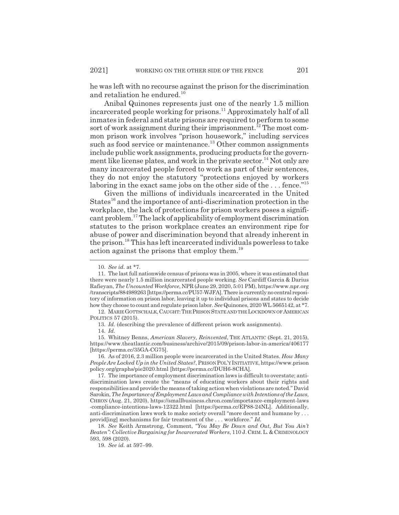he was left with no recourse against the prison for the discrimination and retaliation he endured.<sup>10</sup>

Anibal Quinones represents just one of the nearly 1.5 million incarcerated people working for prisons.<sup>11</sup> Approximately half of all inmates in federal and state prisons are required to perform to some sort of work assignment during their imprisonment.<sup>12</sup> The most common prison work involves "prison housework," including services such as food service or maintenance.<sup>13</sup> Other common assignments include public work assignments, producing products for the government like license plates, and work in the private sector.<sup>14</sup> Not only are many incarcerated people forced to work as part of their sentences, they do not enjoy the statutory "protections enjoyed by workers laboring in the exact same jobs on the other side of the  $\dots$  fence."<sup>15</sup>

Given the millions of individuals incarcerated in the United States<sup>16</sup> and the importance of anti-discrimination protection in the workplace, the lack of protections for prison workers poses a significant problem.17 The lack of applicability of employment discrimination statutes to the prison workplace creates an environment ripe for abuse of power and discrimination beyond that already inherent in the prison.18 This has left incarcerated individuals powerless to take action against the prisons that employ them.<sup>19</sup>

18. *See* Keith Armstrong, Comment, *"You May Be Down and Out, But You Ain't Beaten": Collective Bargaining for Incarcerated Workers*, 110 J.CRIM.L.&CRIMINOLOGY 593, 598 (2020).

19. *See id.* at 597–99.

<sup>10.</sup> *See id.* at \*7.

<sup>11.</sup> The last full nationwide census of prisons was in 2005, where it was estimated that there were nearly 1.5 million incarcerated people working. *See* Cardiff Garcia & Darius Rafieyan,*The Uncounted Workforce*, NPR (June 29, 2020, 5:01 PM), https://www.npr.org /transcripts/884989263 [https://perma.cc/PU57-WJFA]. There is currently no central repository of information on prison labor, leaving it up to individual prisons and states to decide how they choose to count and regulate prison labor. *See* Quinones, 2020 WL 5665142, at \*7.

<sup>12.</sup> MARIEGOTTSCHALK,CAUGHT:THE PRISON STATE AND THE LOCKDOWN OF AMERICAN POLITICS 57 (2015).

<sup>13.</sup> *Id.* (describing the prevalence of different prison work assignments).

<sup>14.</sup> *Id.*

<sup>15.</sup> Whitney Benns, *American Slavery, Reinvented*, THE ATLANTIC (Sept. 21, 2015), https://www.theatlantic.com/business/archive/2015/09/prison-labor-in-america/406177 [https://perma.cc/35GA-CG75].

<sup>16.</sup> As of 2016, 2.3 million people were incarcerated in the United States. *How Many People Are Locked Up in the United States?*, PRISON POL'Y INITIATIVE, https://www.prison policy.org/graphs/pie2020.html [https://perma.cc/DUH6-8CHA].

<sup>17.</sup> The importance of employment discrimination laws is difficult to overstate; antidiscrimination laws create the "means of educating workers about their rights and responsibilities and provide the means of taking action when violations are noted." David Sarokin,*The Importance of Employment Laws and Compliance with Intentions of the Laws*, CHRON (Aug. 21, 2020), https://smallbusiness.chron.com/importance-employment-laws -compliance-intentions-laws-12322.html [https://perma.cc/EP88-24NL]. Additionally, anti-discrimination laws work to make society overall "more decent and humane by . . . provid[ing] mechanisms for fair treatment of the . . . workforce." *Id.*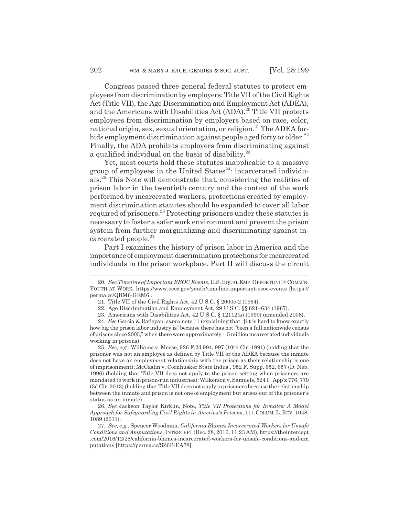Congress passed three general federal statutes to protect employees from discrimination by employers: Title VII of the Civil Rights Act (Title VII), the Age Discrimination and Employment Act (ADEA), and the Americans with Disabilities Act (ADA).<sup>20</sup> Title VII protects employees from discrimination by employers based on race, color, national origin, sex, sexual orientation, or religion.<sup>21</sup> The ADEA forbids employment discrimination against people aged forty or older.<sup>22</sup> Finally, the ADA prohibits employers from discriminating against a qualified individual on the basis of disability.<sup>23</sup>

Yet, most courts hold these statutes inapplicable to a massive group of employees in the United States $^{24}$ : incarcerated individuals.25 This Note will demonstrate that, considering the realities of prison labor in the twentieth century and the context of the work performed by incarcerated workers, protections created by employment discrimination statutes should be expanded to cover all labor required of prisoners.26 Protecting prisoners under these statutes is necessary to foster a safer work environment and prevent the prison system from further marginalizing and discriminating against incarcerated people.<sup>27</sup>

Part I examines the history of prison labor in America and the importance of employment discrimination protections for incarcerated individuals in the prison workplace. Part II will discuss the circuit

25. *See, e.g.*, Williams v. Meese, 926 F.2d 994, 997 (10th Cir. 1991) (holding that the prisoner was not an employee as defined by Title VII or the ADEA because the inmate does not have an employment relationship with the prison as their relationship is one of imprisonment); McCaslin v. Cornhusker State Indus., 952 F. Supp. 652, 657 (D. Neb. 1996) (holding that Title VII does not apply to the prison setting when prisoners are mandated to work in prison-run industries); Wilkerson v. Samuels, 524 F. App'x 776, 779 (3d Cir. 2013) (holding that Title VII does not apply to prisoners because the relationship between the inmate and prison is not one of employment but arises out of the prisoner's status as an inmate).

26. *See* Jackson Taylor Kirklin, Note, *Title VII Protections for Inmates: A Model Approach for Safeguarding Civil Rights in America's Prisons*, 111 COLUM. L. REV. 1048, 1089 (2011).

<sup>20.</sup> *See Timeline of Important EEOC Events*,U.S.EQUALEMP.OPPORTUNITYCOMM'N: YOUTH AT WORK, https://www.eeoc.gov/youth/timeline-important-eeoc-events [https:// perma.cc/QBM6-GEM6].

<sup>21.</sup> Title VII of the Civil Rights Act, 42 U.S.C. § 2000e-2 (1964).

<sup>22.</sup> Age Discrimination and Employment Act, 29 U.S.C. §§ 621–634 (1967).

<sup>23.</sup> Americans with Disabilities Act, 42 U.S.C. § 12112(a) (1990) (amended 2008).

<sup>24.</sup> *See* Garcia & Rafieyan, *supra* note 11 (explaining that "[i]t is hard to know exactly how big the prison labor industry is" because there has not "been a full nationwide census of prisons since 2005," when there were approximately 1.5 million incarcerated individuals working in prisons).

<sup>27.</sup> *See, e.g.*, Spencer Woodman, *California Blames Incarcerated Workers for Unsafe Conditions and Amputations*, INTERCEPT (Dec. 28, 2016, 11:23 AM), https://theintercept .com/2016/12/28/california-blames-incarcerated-workers-for-unsafe-conditions-and-am putations [https://perma.cc/SZ6B-EA78].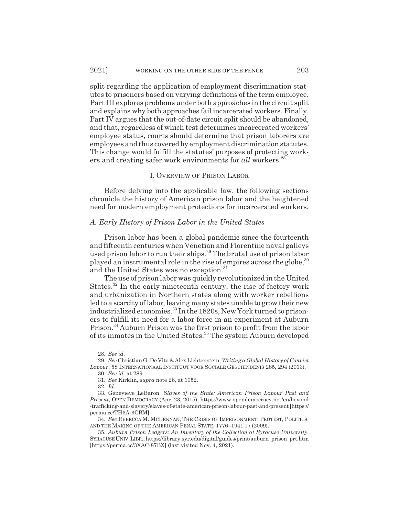split regarding the application of employment discrimination statutes to prisoners based on varying definitions of the term employee. Part III explores problems under both approaches in the circuit split and explains why both approaches fail incarcerated workers. Finally, Part IV argues that the out-of-date circuit split should be abandoned, and that, regardless of which test determines incarcerated workers' employee status, courts should determine that prison laborers are employees and thus covered by employment discrimination statutes. This change would fulfill the statutes' purposes of protecting workers and creating safer work environments for *all* workers.<sup>28</sup>

## I. OVERVIEW OF PRISON LABOR

Before delving into the applicable law, the following sections chronicle the history of American prison labor and the heightened need for modern employment protections for incarcerated workers.

#### *A. Early History of Prison Labor in the United States*

Prison labor has been a global pandemic since the fourteenth and fifteenth centuries when Venetian and Florentine naval galleys used prison labor to run their ships.<sup>29</sup> The brutal use of prison labor played an instrumental role in the rise of empires across the globe,  $30$ and the United States was no exception.<sup>31</sup>

The use of prison labor was quickly revolutionized in the United States.32 In the early nineteenth century, the rise of factory work and urbanization in Northern states along with worker rebellions led to a scarcity of labor, leaving many states unable to grow their new industrialized economies.<sup>33</sup> In the 1820s, New York turned to prisoners to fulfill its need for a labor force in an experiment at Auburn Prison.34 Auburn Prison was the first prison to profit from the labor of its inmates in the United States.<sup>35</sup> The system Auburn developed

<sup>28.</sup> *See id.*

<sup>29.</sup> *See* Christian G. De Vito & Alex Lichtenstein, *Writing a Global History of Convict Labour*, 58 INTERNATIONAAL INSTITUUT VOOR SOCIALE GESCHINDENIS 285, 294 (2013).

<sup>30.</sup> *See id.* at 289.

<sup>31.</sup> *See* Kirklin, *supra* note 26, at 1052.

<sup>32.</sup> *Id.*

<sup>33.</sup> Genevieve LeBaron, *Slaves of the State: American Prison Labour Past and Present*, OPEN DEMOCRACY (Apr. 23, 2015), https://www.opendemocracy.net/en/beyond -trafficking-and-slavery/slaves-of-state-american-prison-labour-past-and-present [https:// perma.cc/TH3A-3CBM].

<sup>34.</sup> *See* REBECCA M. MCLENNAN, THE CRISIS OF IMPRISONMENT: PROTEST, POLITICS, AND THE MAKING OF THE AMERICAN PENAL STATE, 1776–1941 17 (2009).

<sup>35.</sup> *Auburn Prison Ledgers: An Inventory of the Collection at Syracuse University*, SYRACUSEUNIV.LIBR., https://library.syr.edu/digital/guides/print/auburn\_prison\_prt.htm [https://perma.cc/3XAC-87BX] (last visited Nov. 4, 2021).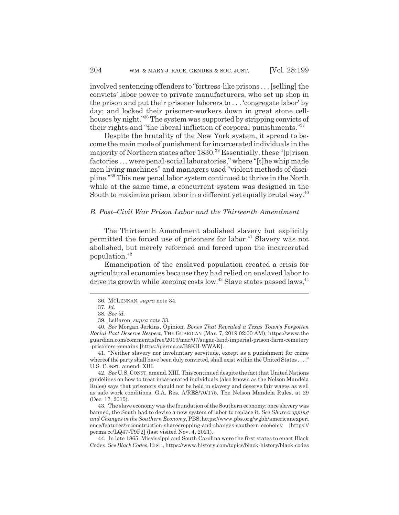involved sentencing offenders to "fortress-like prisons . . . [selling] the convicts' labor power to private manufacturers, who set up shop in the prison and put their prisoner laborers to . . . 'congregate labor' by day; and locked their prisoner-workers down in great stone cellhouses by night."<sup>36</sup> The system was supported by stripping convicts of their rights and "the liberal infliction of corporal punishments."37

Despite the brutality of the New York system, it spread to become the main mode of punishment for incarcerated individuals in the majority of Northern states after 1830.38 Essentially, these "[p]rison factories . . . were penal-social laboratories," where "[t]he whip made men living machines" and managers used "violent methods of discipline."39 This new penal labor system continued to thrive in the North while at the same time, a concurrent system was designed in the South to maximize prison labor in a different yet equally brutal way.<sup>40</sup>

## *B. Post–Civil War Prison Labor and the Thirteenth Amendment*

The Thirteenth Amendment abolished slavery but explicitly permitted the forced use of prisoners for labor.<sup>41</sup> Slavery was not abolished, but merely reformed and forced upon the incarcerated population.<sup>42</sup>

Emancipation of the enslaved population created a crisis for agricultural economies because they had relied on enslaved labor to drive its growth while keeping costs low.<sup>43</sup> Slave states passed laws,<sup>44</sup>

41. "Neither slavery nor involuntary servitude, except as a punishment for crime whereof the party shall have been duly convicted, shall exist within the United States . . . ." U.S. CONST. amend. XIII.

42. *See* U.S. CONST. amend. XIII. This continued despite the fact that United Nations guidelines on how to treat incarcerated individuals (also known as the Nelson Mandela Rules) says that prisoners should not be held in slavery and deserve fair wages as well as safe work conditions. G.A. Res. A/RES/70/175, The Nelson Mandela Rules, at 29 (Dec. 17, 2015).

43. The slave economy was the foundation of the Southern economy; once slavery was banned, the South had to devise a new system of labor to replace it. *See Sharecropping and Changes in the Southern Economy*, PBS,https://www.pbs.org/wgbh/americanexperi ence/features/reconstruction-sharecropping-and-changes-southern-economy [https:// perma.cc/LQ47-T9F2] (last visited Nov. 4, 2021).

44. In late 1865, Mississippi and South Carolina were the first states to enact Black Codes.*See Black Codes*, HIST., https://www.history.com/topics/black-history/black-codes

<sup>36.</sup> MCLENNAN, *supra* note 34.

<sup>37.</sup> *Id.*

<sup>38.</sup> *See id.*

<sup>39.</sup> LeBaron, *supra* note 33.

<sup>40.</sup> *See* Morgan Jerkins, Opinion, *Bones That Revealed a Texas Town's Forgotten Racial Past Deserve Respect*, THE GUARDIAN (Mar. 7, 2019 02:00 AM), https://www.the guardian.com/commentisfree/2019/mar/07/sugar-land-imperial-prison-farm-cemetery -prisoners-remains [https://perma.cc/B8KH-WWAK].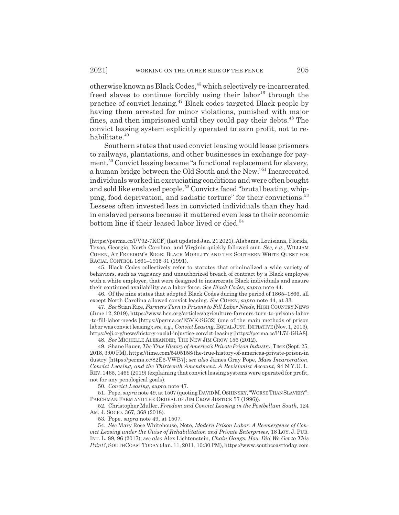otherwise known as Black Codes,<sup>45</sup> which selectively re-incarcerated freed slaves to continue forcibly using their labor<sup>46</sup> through the practice of convict leasing.47 Black codes targeted Black people by having them arrested for minor violations, punished with major fines, and then imprisoned until they could pay their debts.<sup>48</sup> The convict leasing system explicitly operated to earn profit, not to rehabilitate.<sup>49</sup>

Southern states that used convict leasing would lease prisoners to railways, plantations, and other businesses in exchange for payment.<sup>50</sup> Convict leasing became "a functional replacement for slavery, a human bridge between the Old South and the New."51 Incarcerated individuals worked in excruciating conditions and were often bought and sold like enslaved people.52 Convicts faced "brutal beating, whipping, food deprivation, and sadistic torture" for their convictions.<sup>53</sup> Lessees often invested less in convicted individuals than they had in enslaved persons because it mattered even less to their economic bottom line if their leased labor lived or died. $54$ 

46. Of the nine states that adopted Black Codes during the period of 1865–1866, all except North Carolina allowed convict leasing. *See* COHEN, *supra* note 44, at 33.

47. *See* Stian Rice, *Farmers Turn to Prisons to Fill Labor Needs*, HIGH COUNTRY NEWS (June 12, 2019), https://www.hcn.org/articles/agriculture-farmers-turn-to-prisons-labor -to-fill-labor-needs [https://perma.cc/E5VK-SG32] (one of the main methods of prison labor was convict leasing); *see, e.g.*, *Convict Leasing*, EQUALJUST.INITIATIVE (Nov. 1, 2013), https://eji.org/news/history-racial-injustice-convict-leasing [https://perma.cc/PL7J-GRA8]. 48. *See* MICHELLE ALEXANDER, THE NEW JIM CROW 156 (2012).

49. Shane Bauer, *The True History of America's Private Prison Industry*, TIME (Sept. 25, 2018, 3:00 PM), https://time.com/5405158/the-true-history-of-americas-private-prison-in dustry [https://perma.cc/82E6-VWB7]; *see also* James Gray Pope, *Mass Incarceration, Convict Leasing, and the Thirteenth Amendment: A Revisionist Account*, 94 N.Y.U. L. REV.1465, 1469 (2019) (explaining that convict leasing systems were operated for profit, not for any penological goals).

50. *Convict Leasing, supra* note 47.

51. Pope, *supra* note 49, at 1507 (quoting DAVIDM.OSHINSKY,"WORSETHAN SLAVERY": PARCHMAN FARM AND THE ORDEAL OF JIM CROW JUSTICE 57 (1996)).

52. Christopher Muller, *Freedom and Convict Leasing in the Postbellum South*, 124 AM. J. SOCIO. 367, 368 (2018).

53. Pope, *supra* note 49, at 1507.

54. *See* Mary Rose Whitehouse, Note, *Modern Prison Labor: A Reemergence of Convict Leasing under the Guise of Rehabilitation and Private Enterprises*, 18 LOY. J. PUB. INT. L. 89, 96 (2017); *see also* Alex Lichtenstein, *Chain Gangs: How Did We Get to This Point?*, SOUTHCOASTTODAY (Jan. 11, 2011, 10:30 PM), https://www.southcoasttoday.com

<sup>[</sup>https://perma.cc/PV92-7KCF] (last updated Jan. 21 2021). Alabama, Louisiana, Florida, Texas, Georgia, North Carolina, and Virginia quickly followed suit. *See, e.g.*, WILLIAM COHEN, AT FREEDOM'S EDGE: BLACK MOBILITY AND THE SOUTHERN WHITE QUEST FOR RACIAL CONTROL 1861–1915 31 (1991).

<sup>45.</sup> Black Codes collectively refer to statutes that criminalized a wide variety of behaviors, such as vagrancy and unauthorized breach of contract by a Black employee with a white employer, that were designed to incarcerate Black individuals and ensure their continued availability as a labor force. *See Black Codes*, *supra* note 44.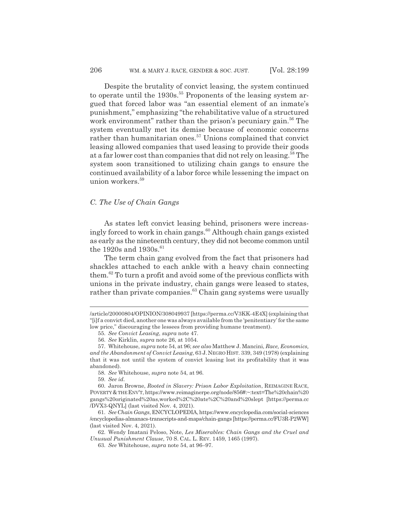Despite the brutality of convict leasing, the system continued to operate until the  $1930s$ <sup>55</sup> Proponents of the leasing system argued that forced labor was "an essential element of an inmate's punishment," emphasizing "the rehabilitative value of a structured work environment" rather than the prison's pecuniary gain.<sup>56</sup> The system eventually met its demise because of economic concerns rather than humanitarian ones.<sup>57</sup> Unions complained that convict leasing allowed companies that used leasing to provide their goods at a far lower cost than companies that did not rely on leasing.<sup>58</sup> The system soon transitioned to utilizing chain gangs to ensure the continued availability of a labor force while lessening the impact on union workers.<sup>59</sup>

### *C. The Use of Chain Gangs*

As states left convict leasing behind, prisoners were increasingly forced to work in chain gangs.<sup>60</sup> Although chain gangs existed as early as the nineteenth century, they did not become common until the 1920s and 1930s. $61$ 

The term chain gang evolved from the fact that prisoners had shackles attached to each ankle with a heavy chain connecting them.62 To turn a profit and avoid some of the previous conflicts with unions in the private industry, chain gangs were leased to states, rather than private companies.<sup>63</sup> Chain gang systems were usually

59. *See id.*

<sup>/</sup>article/20000804/OPINION/308049937 [https://perma.cc/V3KK-4E4X] (explaining that "[i]f a convict died, another one was always available from the 'penitentiary' for the same low price," discouraging the lessees from providing humane treatment).

<sup>55.</sup> *See Convict Leasing*, *supra* note 47.

<sup>56.</sup> *See* Kirklin, *supra* note 26, at 1054.

<sup>57.</sup> Whitehouse, *supra* note 54, at 96; *see also* Matthew J. Mancini, *Race, Economics, and the Abandonment of Convict Leasing*, 63 J. NEGRO HIST. 339, 349 (1978) (explaining that it was not until the system of convict leasing lost its profitability that it was abandoned).

<sup>58.</sup> *See* Whitehouse, *supra* note 54, at 96.

<sup>60.</sup> Jaron Browne, *Rooted in Slavery: Prison Labor Exploitation*, REIMAGINE RACE, POVERTY & THE ENV'T, https://www.reimaginerpe.org/node/856#:~:text=The%20chain%20 gangs%20originated%20as,worked%2C%20ate%2C%20and%20slept [https://perma.cc /DVX3-QNYL] (last visited Nov. 4, 2021).

<sup>61.</sup> *See Chain Gangs*, ENCYCLOPEDIA, https://www.encyclopedia.com/social-sciences /encyclopedias-almanacs-transcripts-and-maps/chain-gangs [https://perma.cc/FU3R-P2WW] (last visited Nov. 4, 2021).

<sup>62.</sup> Wendy Imatani Peloso, Note, *Les Miserables: Chain Gangs and the Cruel and Unusual Punishment Clause*, 70 S. CAL. L. REV. 1459, 1465 (1997).

<sup>63.</sup> *See* Whitehouse, *supra* note 54, at 96–97.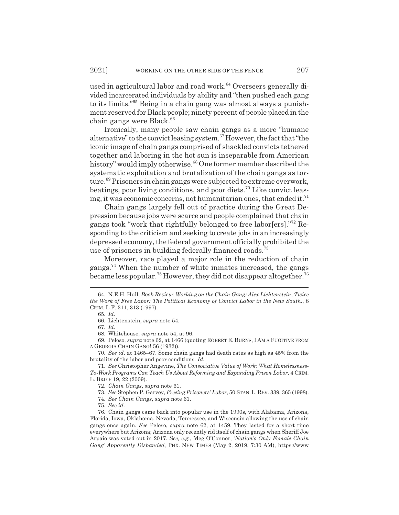used in agricultural labor and road work.<sup>64</sup> Overseers generally divided incarcerated individuals by ability and "then pushed each gang to its limits."65 Being in a chain gang was almost always a punishment reserved for Black people; ninety percent of people placed in the chain gangs were Black.<sup>66</sup>

Ironically, many people saw chain gangs as a more "humane alternative" to the convict leasing system.67 However, the fact that "the iconic image of chain gangs comprised of shackled convicts tethered together and laboring in the hot sun is inseparable from American history" would imply otherwise.<sup>68</sup> One former member described the systematic exploitation and brutalization of the chain gangs as torture.69 Prisoners in chain gangs were subjected to extreme overwork, beatings, poor living conditions, and poor diets.70 Like convict leasing, it was economic concerns, not humanitarian ones, that ended it.<sup>71</sup>

Chain gangs largely fell out of practice during the Great Depression because jobs were scarce and people complained that chain gangs took "work that rightfully belonged to free labor[ers]."72 Responding to the criticism and seeking to create jobs in an increasingly depressed economy, the federal government officially prohibited the use of prisoners in building federally financed roads.<sup>73</sup>

Moreover, race played a major role in the reduction of chain gangs.74 When the number of white inmates increased, the gangs became less popular.<sup>75</sup> However, they did not disappear altogether.<sup>76</sup>

69. Peloso, *supra* note 62, at 1466 (quoting ROBERT E. BURNS,IAM A FUGITIVE FROM A GEORGIA CHAIN GANG! 56 (1932)).

70. *See id.* at 1465–67. Some chain gangs had death rates as high as 45% from the brutality of the labor and poor conditions. *Id.*

71. *See* Christopher Angevine, *The Consociative Value of Work: What Homelessness-To-Work Programs Can Teach Us About Reforming and Expanding Prison Labor*, 4 CRIM. L. BRIEF 19, 22 (2009).

72. *Chain Gangs*, *supra* note 61.

73. *See* Stephen P. Garvey, *Freeing Prisoners' Labor*, 50 STAN. L. REV. 339, 365 (1998).

74. *See Chain Gangs*, *supra* note 61.

75. *See id.*

76. Chain gangs came back into popular use in the 1990s, with Alabama, Arizona, Florida, Iowa, Oklahoma, Nevada, Tennessee, and Wisconsin allowing the use of chain gangs once again. *See* Peloso, *supra* note 62, at 1459. They lasted for a short time everywhere but Arizona; Arizona only recently rid itself of chain gangs when Sheriff Joe Arpaio was voted out in 2017. *See, e.g.*, Meg O'Connor, *'Nation's Only Female Chain Gang' Apparently Disbanded*, PHX. NEW TIMES (May 2, 2019, 7:30 AM), https://www

<sup>64.</sup> N.E.H. Hull, *Book Review: Working on the Chain Gang: Alex Lichtenstein, Twice the Work of Free Labor: The Political Economy of Convict Labor in the New South.*, 8 CRIM. L.F. 311, 313 (1997).

<sup>65.</sup> *Id.*

<sup>66.</sup> Lichtenstein, *supra* note 54.

<sup>67.</sup> *Id.*

<sup>68.</sup> Whitehouse, *supra* note 54, at 96.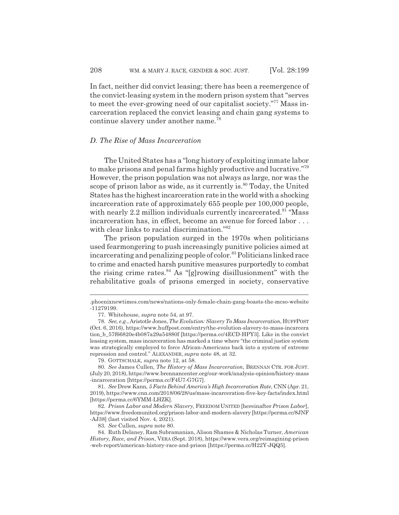In fact, neither did convict leasing; there has been a reemergence of the convict-leasing system in the modern prison system that "serves to meet the ever-growing need of our capitalist society."77 Mass incarceration replaced the convict leasing and chain gang systems to continue slavery under another name.<sup>78</sup>

#### *D. The Rise of Mass Incarceration*

The United States has a "long history of exploiting inmate labor to make prisons and penal farms highly productive and lucrative."79 However, the prison population was not always as large, nor was the scope of prison labor as wide, as it currently is. $80$  Today, the United States has the highest incarceration rate in the world with a shocking incarceration rate of approximately 655 people per 100,000 people, with nearly 2.2 million individuals currently incarcerated.<sup>81</sup> "Mass" incarceration has, in effect, become an avenue for forced labor . . . with clear links to racial discrimination."82

The prison population surged in the 1970s when politicians used fearmongering to push increasingly punitive policies aimed at incarcerating and penalizing people of color.<sup>83</sup> Politicians linked race to crime and enacted harsh punitive measures purportedly to combat the rising crime rates. $84$  As "[g]rowing disillusionment" with the rehabilitative goals of prisons emerged in society, conservative

<sup>.</sup>phoenixnewtimes.com/news/nations-only-female-chain-gang-boasts-the-mcso-website -11279199.

<sup>77.</sup> Whitehouse, *supra* note 54, at 97.

<sup>78.</sup> *See, e.g.*, Aristotle Jones, *The Evolution: Slavery To Mass Incarceration*, HUFFPOST (Oct. 6, 2016), https://www.huffpost.com/entry/the-evolution-slavery-to-mass-incarcera tion\_b\_57f66820e4b087a29a54880f [https://perma.cc/4ECD-HPY3]. Like in the convict leasing system, mass incarceration has marked a time where "the criminal justice system was strategically employed to force African-Americans back into a system of extreme repression and control." ALEXANDER, *supra* note 48, at 32.

<sup>79.</sup> GOTTSCHALK, *supra* note 12, at 58.

<sup>80.</sup> *See* James Cullen, *The History of Mass Incarceration*, BRENNAN CTR. FOR JUST. (July 20, 2018), https://www.brennancenter.org/our-work/analysis-opinion/history-mass -incarceration [https://perma.cc/F4U7-G7G7].

<sup>81.</sup> *See* Drew Kann, *5 Facts Behind America's High Incarceration Rate*, CNN (Apr. 21, 2019), https://www.cnn.com/2018/06/28/us/mass-incarceration-five-key-facts/index.html [https://perma.cc/6YMM-LHZK].

<sup>82.</sup> *Prison Labor and Modern Slavery,* FREEDOM UNITED [hereinafter *Prison Labor*], https://www.freedomunited.org/prison-labor-and-modern-slavery [https://perma.cc/8JNF -AJ38] (last visited Nov. 4, 2021).

<sup>83.</sup> *See* Cullen, *supra* note 80.

<sup>84.</sup> Ruth Delaney, Ram Subramanian, Alison Shames & Nicholas Turner, *American History, Race, and Prison*, VERA (Sept. 2018), https://www.vera.org/reimagining-prison -web-report/american-history-race-and-prison [https://perma.cc/H22Y-JQQ5].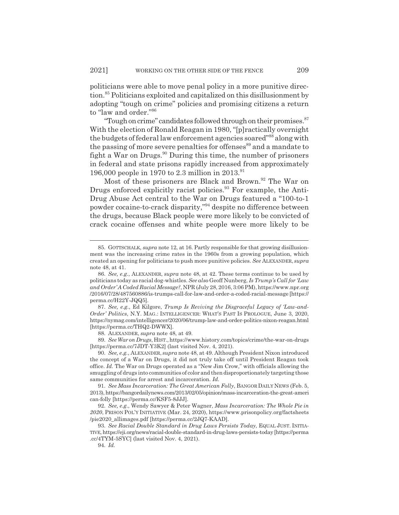politicians were able to move penal policy in a more punitive direction.85 Politicians exploited and capitalized on this disillusionment by adopting "tough on crime" policies and promising citizens a return to "law and order."86

"Tough on crime" candidates followed through on their promises.<sup>87</sup> With the election of Ronald Reagan in 1980, "[p]ractically overnight the budgets of federal law enforcement agencies soared"<sup>88</sup> along with the passing of more severe penalties for offenses<sup>89</sup> and a mandate to fight a War on Drugs. $90$  During this time, the number of prisoners in federal and state prisons rapidly increased from approximately 196,000 people in 1970 to 2.3 million in 2013.<sup>91</sup>

Most of these prisoners are Black and Brown.<sup>92</sup> The War on Drugs enforced explicitly racist policies.<sup>93</sup> For example, the Anti-Drug Abuse Act central to the War on Drugs featured a "100-to-1 powder cocaine-to-crack disparity,"94 despite no difference between the drugs, because Black people were more likely to be convicted of crack cocaine offenses and white people were more likely to be

88. ALEXANDER, *supra* note 48, at 49.

89. *See War on Drugs*, HIST., https://www.history.com/topics/crime/the-war-on-drugs [https://perma.cc/7JDT-Y3K2] (last visited Nov. 4, 2021).

<sup>85.</sup> GOTTSCHALK, *supra* note 12, at 16. Partly responsible for that growing disillusionment was the increasing crime rates in the 1960s from a growing population, which created an opening for politicians to push more punitive policies. *See* ALEXANDER, *supra* note 48, at 41.

<sup>86.</sup> *See, e.g.*, ALEXANDER, *supra* note 48, at 42. These terms continue to be used by politicians today as racial dog-whistles. *See also* Geoff Nunberg, *Is Trump's Call for 'Law and Order' A Coded Racial Message?*, NPR (July 28, 2016, 3:06 PM), https://www.npr.org /2016/07/28/487560886/is-trumps-call-for-law-and-order-a-coded-racial-message [https:// perma.cc/H22Y-JQQ5].

<sup>87.</sup> *See, e.g.*, Ed Kilgore, *Trump Is Reviving the Disgraceful Legacy of 'Law-and-Order' Politics*, N.Y. MAG.: INTELLIGENCER: WHAT'S PAST IS PROLOGUE, June 3, 2020, https://nymag.com/intelligencer/2020/06/trump-law-and-order-politics-nixon-reagan.html [https://perma.cc/THQ2-DWWX].

<sup>90.</sup> *See, e.g.*, ALEXANDER, *supra* note 48, at 49. Although President Nixon introduced the concept of a War on Drugs, it did not truly take off until President Reagan took office. *Id.* The War on Drugs operated as a "New Jim Crow," with officials allowing the smuggling of drugs into communities of color and then disproportionately targeting those same communities for arrest and incarceration. *Id.*

<sup>91.</sup> *See Mass Incarceration: The Great American Folly*, BANGOR DAILY NEWS (Feb. 5, 2013), https://bangordailynews.com/2013/02/05/opinion/mass-incarceration-the-great-ameri can-folly [https://perma.cc/KSF5-8JJJ].

<sup>92.</sup> *See, e.g.*, Wendy Sawyer & Peter Wagner, *Mass Incarceration: The Whole Pie in 2020*, PRISON POL'Y INITIATIVE (Mar. 24, 2020), https://www.prisonpolicy.org/factsheets /pie2020\_allimages.pdf [https://perma.cc/2JQ7-KAAD].

<sup>93.</sup> *See Racial Double Standard in Drug Laws Persists Today*, EQUAL JUST. INITIA-TIVE, https://eji.org/news/racial-double-standard-in-drug-laws-persists-today [https://perma .cc/4TYM-5SYC] (last visited Nov. 4, 2021).

<sup>94.</sup> *Id.*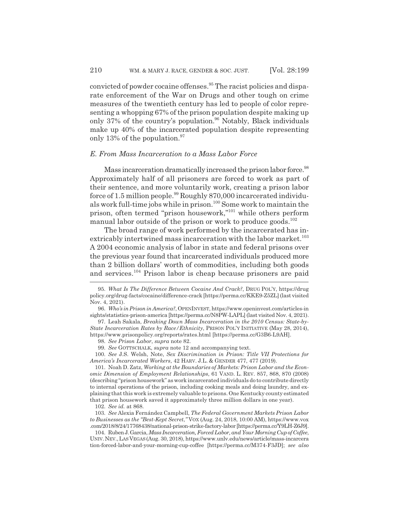convicted of powder cocaine offenses.<sup>95</sup> The racist policies and disparate enforcement of the War on Drugs and other tough on crime measures of the twentieth century has led to people of color representing a whopping 67% of the prison population despite making up only 37% of the country's population.<sup>96</sup> Notably, Black individuals make up 40% of the incarcerated population despite representing only 13% of the population. $97$ 

#### *E. From Mass Incarceration to a Mass Labor Force*

Mass incarceration dramatically increased the prison labor force.<sup>98</sup> Approximately half of all prisoners are forced to work as part of their sentence, and more voluntarily work, creating a prison labor force of 1.5 million people. $99$  Roughly 870,000 incarcerated individuals work full-time jobs while in prison.100 Some work to maintain the prison, often termed "prison housework,"101 while others perform manual labor outside of the prison or work to produce goods.<sup>102</sup>

The broad range of work performed by the incarcerated has inextricably intertwined mass incarceration with the labor market.<sup>103</sup> A 2004 economic analysis of labor in state and federal prisons over the previous year found that incarcerated individuals produced more than 2 billion dollars' worth of commodities, including both goods and services.104 Prison labor is cheap because prisoners are paid

99. *See* GOTTSCHALK, *supra* note 12 and accompanying text.

100. *See* J.S. Welsh, Note, *Sex Discrimination in Prison: Title VII Protections for America's Incarcerated Workers*, 42 HARV. J.L. & GENDER 477, 477 (2019).

102. *See id.* at 868.

103. *See* Alexia Fernández Campbell, *The Federal Government Markets Prison Labor to Businesses as the "Best-Kept Secret*,*"* VOX (Aug. 24, 2018, 10:00 AM), https://www.vox .com/2018/8/24/17768438/national-prison-strike-factory-labor [https://perma.cc/Y9LH-Z6J9].

104. Ruben J. Garcia, *Mass Incarceration, Forced Labor, and Your Morning Cup of Coffee*, UNIV.NEV.,LASVEGAS (Aug. 30, 2018), https://www.unlv.edu/news/article/mass-incarcera tion-forced-labor-and-your-morning-cup-coffee [https://perma.cc/M374-F3JD]; *see also*

<sup>95.</sup> *What Is The Difference Between Cocaine And Crack?*, DRUG POL'Y, https://drug policy.org/drug-facts/cocaine/difference-crack [https://perma.cc/KKE9-Z5ZL] (last visited Nov. 4, 2021).

<sup>96.</sup> *Who's in Prison in America?*, OPENINVEST, https://www.openinvest.com/articles-in sights/statistics-prison-america [https://perma.cc/N8PW-LAPL] (last visited Nov. 4, 2021).

<sup>97.</sup> Leah Sakala, *Breaking Down Mass Incarceration in the 2010 Census: State-by-State Incarceration Rates by Race/Ethnicity*, PRISON POL'Y INITIATIVE (May 28, 2014), https://www.prisonpolicy.org/reports/rates.html [https://perma.cc/G3B6-L9AH].

<sup>98.</sup> *See Prison Labor*, *supra* note 82.

<sup>101.</sup> Noah D. Zatz, *Working at the Boundaries of Markets: Prison Labor and the Economic Dimension of Employment Relationships*, 61 VAND. L. REV. 857, 868, 870 (2008) (describing "prison housework" as work incarcerated individuals do to contribute directly to internal operations of the prison, including cooking meals and doing laundry, and explaining that this work is extremely valuable to prisons. One Kentucky county estimated that prison housework saved it approximately three million dollars in one year).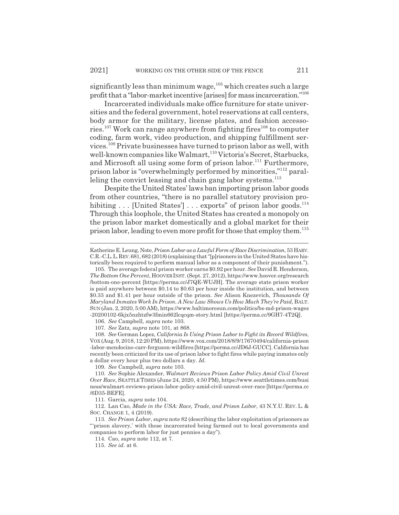significantly less than minimum wage,  $105$  which creates such a large profit that a "labor-market incentive [arises] for mass incarceration."106

Incarcerated individuals make office furniture for state universities and the federal government, hotel reservations at call centers, body armor for the military, license plates, and fashion accessories.<sup>107</sup> Work can range anywhere from fighting fires<sup>108</sup> to computer coding, farm work, video production, and shipping fulfillment services.109 Private businesses have turned to prison labor as well, with well-known companies like Walmart,<sup>110</sup> Victoria's Secret, Starbucks, and Microsoft all using some form of prison labor.<sup>111</sup> Furthermore, prison labor is "overwhelmingly performed by minorities,"112 paralleling the convict leasing and chain gang labor systems.<sup>113</sup>

Despite the United States' laws ban importing prison labor goods from other countries, "there is no parallel statutory provision prohibiting  $\ldots$  [United States]  $\ldots$  exports" of prison labor goods.<sup>114</sup> Through this loophole, the United States has created a monopoly on the prison labor market domestically and a global market for their prison labor, leading to even more profit for those that employ them.<sup>115</sup>

106. *See* Campbell, *supra* note 103.

107. *See* Zatz, *supra* note 101, at 868.

108. *See* German Lopez, *California Is Using Prison Labor to Fight its Record Wildfires*, VOX (Aug. 9, 2018, 12:20 PM), https://www.vox.com/2018/8/9/17670494/california-prison -labor-mendocino-carr-ferguson-wildfires [https://perma.cc/JD6J-GUCC]. California has recently been criticized for its use of prison labor to fight fires while paying inmates only a dollar every hour plus two dollars a day. *Id.*

109. *See* Campbell, *supra* note 103.

111. Garcia, *supra* note 104.

112. Lan Cao, *Made in the USA: Race, Trade, and Prison Labor*, 43 N.Y.U. REV. L. & SOC. CHANGE 1, 4 (2019).

Katherine E. Leung, Note, *Prison Labor as a Lawful Form of Race Discrimination*, 53 HARV. C.R.-C.L.L.REV.681, 682 (2018) (explaining that "[p]risoners in the United States have historically been required to perform manual labor as a component of their punishment.").

<sup>105.</sup> The average federal prison worker earns \$0.92 per hour. *See* David R. Henderson, *The Bottom One Percent*, HOOVERINST. (Sept. 27, 2012), https://www.hoover.org/research /bottom-one-percent [https://perma.cc/J7QE-WUJH]. The average state prison worker is paid anywhere between \$0.14 to \$0.63 per hour inside the institution, and between \$0.33 and \$1.41 per hour outside of the prison. *See* Alison Knezevich, *Thousands Of Maryland Inmates Work In Prison. A New Law Shows Us How Much They're Paid*, BALT. SUN (Jan. 2, 2020, 5:00 AM), https://www.baltimoresun.com/politics/bs-md-prison-wages -20200102-6kjx5nzhtzfw3fmin662lcqcqm-story.html [https://perma.cc/9GH7-4T2Q].

<sup>110.</sup> *See* Sophie Alexander, *Walmart Reviews Prison Labor Policy Amid Civil Unrest Over Race*, SEATTLE TIMES (June 24, 2020, 4:50 PM), https://www.seattletimes.com/busi ness/walmart-reviews-prison-labor-policy-amid-civil-unrest-over-race [https://perma.cc /6D35-BEFE].

<sup>113.</sup> *See Prison Labor*, *supra* note 82 (describing the labor exploitation of prisoners as "'prison slavery,' with those incarcerated being farmed out to local governments and companies to perform labor for just pennies a day").

<sup>114.</sup> Cao, *supra* note 112, at 7.

<sup>115.</sup> *See id.* at 6.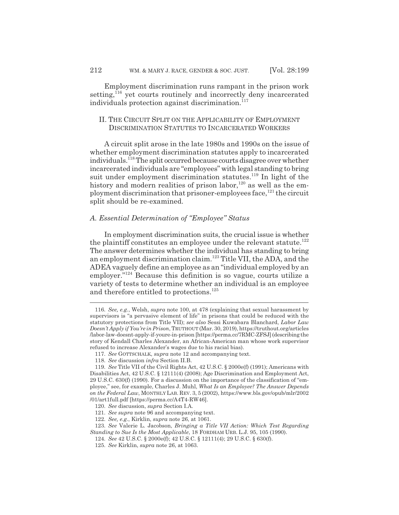Employment discrimination runs rampant in the prison work setting,<sup>116</sup> yet courts routinely and incorrectly deny incarcerated individuals protection against discrimination.<sup>117</sup>

## II. THE CIRCUIT SPLIT ON THE APPLICABILITY OF EMPLOYMENT DISCRIMINATION STATUTES TO INCARCERATED WORKERS

A circuit split arose in the late 1980s and 1990s on the issue of whether employment discrimination statutes apply to incarcerated individuals.<sup>118</sup> The split occurred because courts disagree over whether incarcerated individuals are "employees" with legal standing to bring suit under employment discrimination statutes.<sup>119</sup> In light of the history and modern realities of prison labor, $120$  as well as the employment discrimination that prisoner-employees face,<sup>121</sup> the circuit split should be re-examined.

## *A. Essential Determination of "Employee" Status*

In employment discrimination suits, the crucial issue is whether the plaintiff constitutes an employee under the relevant statute.<sup>122</sup> The answer determines whether the individual has standing to bring an employment discrimination claim.123 Title VII, the ADA, and the ADEA vaguely define an employee as an "individual employed by an employer."<sup>124</sup> Because this definition is so vague, courts utilize a variety of tests to determine whether an individual is an employee and therefore entitled to protections.<sup>125</sup>

<sup>116.</sup> *See, e.g.*, Welsh, *supra* note 100, at 478 (explaining that sexual harassment by supervisors is "a pervasive element of life" in prisons that could be reduced with the statutory protections from Title VII); *see also* Sessi Kuwabara Blanchard, *Labor Law Doesn't Apply if You're in Prison*, TRUTHOUT (Mar. 30, 2019), https://truthout.org/articles /labor-law-doesnt-apply-if-youre-in-prison [https://perma.cc/7RMC-ZFSJ] (describing the story of Kendall Charles Alexander, an African-American man whose work supervisor refused to increase Alexander's wages due to his racial bias).

<sup>117.</sup> *See* GOTTSCHALK, *supra* note 12 and accompanying text.

<sup>118.</sup> *See* discussion *infra* Section II.B.

<sup>119.</sup> *See* Title VII of the Civil Rights Act, 42 U.S.C. § 2000e(f) (1991); Americans with Disabilities Act, 42 U.S.C. § 12111(4) (2008); Age Discrimination and Employment Act, 29 U.S.C. 630(f) (1990). For a discussion on the importance of the classification of "employee," see, for example, Charles J. Muhl, *What Is an Employee? The Answer Depends on the Federal Law*, MONTHLY LAB. REV. 3, 5 (2002), https://www.bls.gov/opub/mlr/2002 /01/art1full.pdf [https://perma.cc/A4T4-RW46].

<sup>120.</sup> *See* discussion, *supra* Section I.A.

<sup>121.</sup> *See supra* note 96 and accompanying text.

<sup>122.</sup> *See, e.g.*, Kirklin, *supra* note 26, at 1061.

<sup>123.</sup> *See* Valerie L. Jacobson, *Bringing a Title VII Action: Which Test Regarding Standing to Sue Is the Most Applicable*, 18 FORDHAM URB. L.J. 95, 105 (1990).

<sup>124.</sup> *See* 42 U.S.C. § 2000e(f); 42 U.S.C. § 12111(4); 29 U.S.C. § 630(f).

<sup>125.</sup> *See* Kirklin, *supra* note 26, at 1063.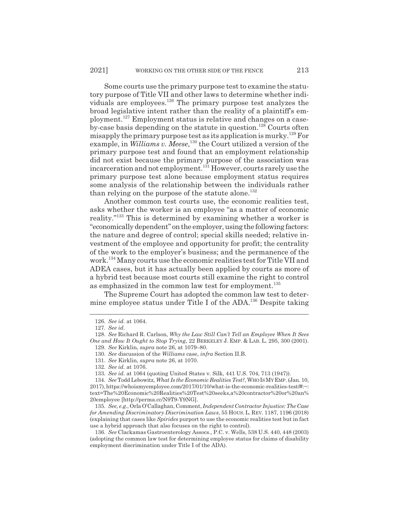Some courts use the primary purpose test to examine the statutory purpose of Title VII and other laws to determine whether individuals are employees.<sup>126</sup> The primary purpose test analyzes the broad legislative intent rather than the reality of a plaintiff's employment.127 Employment status is relative and changes on a caseby-case basis depending on the statute in question.<sup>128</sup> Courts often misapply the primary purpose test as its application is murky.<sup>129</sup> For example, in *Williams v. Meese*, 130 the Court utilized a version of the primary purpose test and found that an employment relationship did not exist because the primary purpose of the association was incarceration and not employment.<sup>131</sup> However, courts rarely use the primary purpose test alone because employment status requires some analysis of the relationship between the individuals rather than relying on the purpose of the statute alone.<sup>132</sup>

Another common test courts use, the economic realities test, asks whether the worker is an employee "as a matter of economic reality."133 This is determined by examining whether a worker is "economically dependent" on the employer, using the following factors: the nature and degree of control; special skills needed; relative investment of the employee and opportunity for profit; the centrality of the work to the employer's business; and the permanence of the work.134 Many courts use the economic realities test for Title VII and ADEA cases, but it has actually been applied by courts as more of a hybrid test because most courts still examine the right to control as emphasized in the common law test for employment.<sup>135</sup>

The Supreme Court has adopted the common law test to determine employee status under Title I of the ADA.<sup>136</sup> Despite taking

<sup>126.</sup> *See id.* at 1064.

<sup>127.</sup> *See id.*

<sup>128.</sup> *See* Richard R. Carlson, *Why the Law Still Can't Tell an Employee When It Sees One and How It Ought to Stop Trying*, 22 BERKELEY J. EMP.&LAB. L. 295, 300 (2001).

<sup>129.</sup> *See* Kirklin, *supra* note 26, at 1079–80.

<sup>130.</sup> *See* discussion of the *Williams* case, *infra* Section II.B.

<sup>131.</sup> *See* Kirklin, *supra* note 26, at 1070.

<sup>132.</sup> *See id.* at 1076.

<sup>133.</sup> *See id.* at 1064 (quoting United States v. Silk, 441 U.S. 704, 713 (1947)).

<sup>134.</sup> *See* Todd Lebowitz, *What Is the Economic Realities Test?*, WHOISMYEMP. (Jan. 10, 2017), https://whoismyemployee.com/2017/01/10/what-is-the-economic-realities-test/#:~: text=The%20Economic%20Realities%20Test%20seeks,a%20contractor%20or%20an% 20employee [http://perma.cc/N9T9-Y9NG].

<sup>135.</sup> *See, e.g.*, Orla O'Callaghan, Comment, *Independent Contractor Injustice: The Case for Amending Discriminatory Discrimination Laws*, 55 HOUS. L. REV. 1187, 1196 (2018) (explaining that cases like *Spirides* purport to use the economic realities test but in fact use a hybrid approach that also focuses on the right to control).

<sup>136.</sup> *See* Clackamas Gastroenterology Assocs., P.C. v. Wells, 538 U.S. 440, 448 (2003) (adopting the common law test for determining employee status for claims of disability employment discrimination under Title I of the ADA).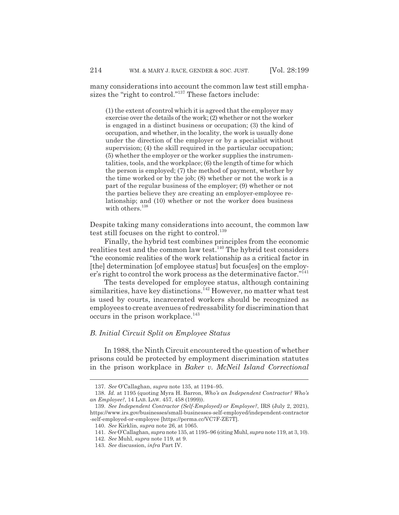many considerations into account the common law test still emphasizes the "right to control."137 These factors include:

(1) the extent of control which it is agreed that the employer may exercise over the details of the work; (2) whether or not the worker is engaged in a distinct business or occupation; (3) the kind of occupation, and whether, in the locality, the work is usually done under the direction of the employer or by a specialist without supervision; (4) the skill required in the particular occupation; (5) whether the employer or the worker supplies the instrumentalities, tools, and the workplace; (6) the length of time for which the person is employed; (7) the method of payment, whether by the time worked or by the job; (8) whether or not the work is a part of the regular business of the employer; (9) whether or not the parties believe they are creating an employer-employee relationship; and (10) whether or not the worker does business with others.<sup>138</sup>

Despite taking many considerations into account, the common law test still focuses on the right to control.<sup>139</sup>

Finally, the hybrid test combines principles from the economic realities test and the common law test.<sup>140</sup> The hybrid test considers "the economic realities of the work relationship as a critical factor in [the] determination [of employee status] but focus[es] on the employer's right to control the work process as the determinative factor."141

The tests developed for employee status, although containing similarities, have key distinctions.<sup>142</sup> However, no matter what test is used by courts, incarcerated workers should be recognized as employees to create avenues of redressability for discrimination that occurs in the prison workplace.<sup>143</sup>

## *B. Initial Circuit Split on Employee Status*

In 1988, the Ninth Circuit encountered the question of whether prisons could be protected by employment discrimination statutes in the prison workplace in *Baker v. McNeil Island Correctional*

<sup>137.</sup> *See* O'Callaghan, *supra* note 135, at 1194–95.

<sup>138.</sup> *Id.* at 1195 (quoting Myra H. Barron, *Who's an Independent Contractor? Who's an Employee?*, 14 LAB. LAW. 457, 458 (1999)).

<sup>139.</sup> *See Independent Contractor (Self-Employed) or Employee?*, IRS (July 2, 2021), https://www.irs.gov/businesses/small-businesses-self-employed/independent-contractor -self-employed-or-employee [https://perma.cc/VC7F-ZE7T].

<sup>140.</sup> *See* Kirklin, *supra* note 26, at 1065.

<sup>141.</sup> *See* O'Callaghan, *supra* note 135, at 1195–96 (citing Muhl, *supra* note 119, at 3, 10).

<sup>142.</sup> *See* Muhl, *supra* note 119, at 9.

<sup>143.</sup> *See* discussion, *infra* Part IV.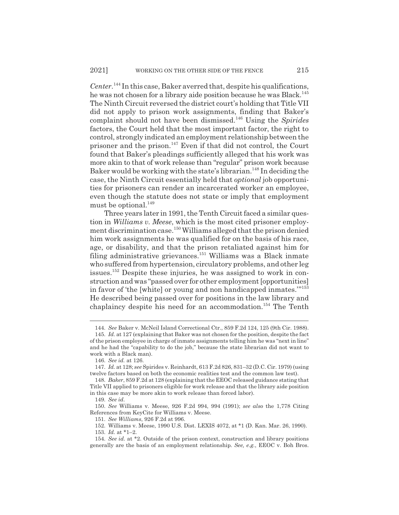*Center*. 144 In this case, Baker averred that, despite his qualifications, he was not chosen for a library aide position because he was Black.<sup>145</sup> The Ninth Circuit reversed the district court's holding that Title VII did not apply to prison work assignments, finding that Baker's complaint should not have been dismissed.146 Using the *Spirides* factors, the Court held that the most important factor, the right to control, strongly indicated an employment relationship between the prisoner and the prison. $147$  Even if that did not control, the Court found that Baker's pleadings sufficiently alleged that his work was more akin to that of work release than "regular" prison work because Baker would be working with the state's librarian.<sup>148</sup> In deciding the case, the Ninth Circuit essentially held that *optional* job opportunities for prisoners can render an incarcerated worker an employee, even though the statute does not state or imply that employment must be optional. $^{149}$ 

Three years later in 1991, the Tenth Circuit faced a similar question in *Williams v. Meese*, which is the most cited prisoner employment discrimination case.150 Williams alleged that the prison denied him work assignments he was qualified for on the basis of his race, age, or disability, and that the prison retaliated against him for filing administrative grievances.<sup>151</sup> Williams was a Black inmate who suffered from hypertension, circulatory problems, and other leg issues.152 Despite these injuries, he was assigned to work in construction and was "passed over for other employment [opportunities] in favor of 'the [white] or young and non handicapped inmates.'"<sup>153</sup> He described being passed over for positions in the law library and chaplaincy despite his need for an accommodation.<sup>154</sup> The Tenth

<sup>144.</sup> *See* Baker v. McNeil Island Correctional Ctr., 859 F.2d 124, 125 (9th Cir. 1988).

<sup>145.</sup> *Id.* at 127 (explaining that Baker was not chosen for the position, despite the fact of the prison employee in charge of inmate assignments telling him he was "next in line" and he had the "capability to do the job," because the state librarian did not want to work with a Black man).

<sup>146.</sup> *See id.* at 126.

<sup>147.</sup> *Id.* at 128; *see* Spirides v. Reinhardt, 613 F.2d 826, 831–32 (D.C. Cir. 1979) (using twelve factors based on both the economic realities test and the common law test).

<sup>148.</sup> *Baker*, 859 F.2d at 128 (explaining that the EEOC released guidance stating that Title VII applied to prisoners eligible for work release and that the library aide position in this case may be more akin to work release than forced labor).

<sup>149.</sup> *See id.*

<sup>150.</sup> *See* Williams v. Meese, 926 F.2d 994, 994 (1991); *see also* the 1,778 Citing References from KeyCite for Williams v. Meese.

<sup>151.</sup> *See Williams*, 926 F.2d at 996.

<sup>152.</sup> Williams v. Meese, 1990 U.S. Dist. LEXIS 4072, at \*1 (D. Kan. Mar. 26, 1990).

<sup>153.</sup> *Id.* at \*1–2.

<sup>154.</sup> *See id.* at \*2. Outside of the prison context, construction and library positions generally are the basis of an employment relationship. *See, e.g.*, EEOC v. Boh Bros.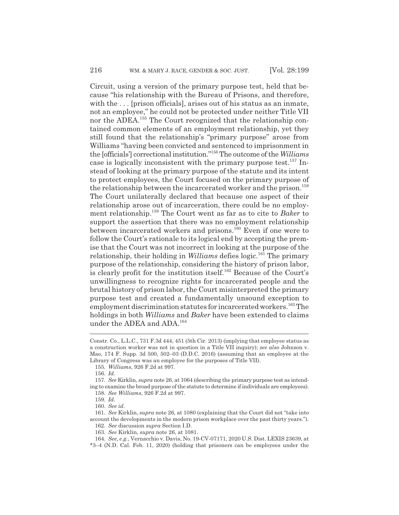Circuit, using a version of the primary purpose test, held that because "his relationship with the Bureau of Prisons, and therefore, with the ... [prison officials], arises out of his status as an inmate, not an employee," he could not be protected under neither Title VII nor the ADEA.155 The Court recognized that the relationship contained common elements of an employment relationship, yet they still found that the relationship's "primary purpose" arose from Williams "having been convicted and sentenced to imprisonment in the [officials'] correctional institution."156 The outcome of the *Williams* case is logically inconsistent with the primary purpose test.<sup>157</sup> Instead of looking at the primary purpose of the statute and its intent to protect employees, the Court focused on the primary purpose of the relationship between the incarcerated worker and the prison.<sup>158</sup> The Court unilaterally declared that because one aspect of their relationship arose out of incarceration, there could be no employment relationship.159 The Court went as far as to cite to *Baker* to support the assertion that there was no employment relationship between incarcerated workers and prisons.<sup>160</sup> Even if one were to follow the Court's rationale to its logical end by accepting the premise that the Court was not incorrect in looking at the purpose of the relationship, their holding in *Williams* defies logic.<sup>161</sup> The primary purpose of the relationship, considering the history of prison labor, is clearly profit for the institution itself.<sup>162</sup> Because of the Court's unwillingness to recognize rights for incarcerated people and the brutal history of prison labor, the Court misinterpreted the primary purpose test and created a fundamentally unsound exception to employment discrimination statutes for incarcerated workers.<sup>163</sup> The holdings in both *Williams* and *Baker* have been extended to claims under the ADEA and ADA.<sup>164</sup>

157. *See* Kirklin, *supra* note 26, at 1064 (describing the primary purpose test as intending to examine the broad purpose of the statute to determine if individuals are employees). 158. *See Williams*, 926 F.2d at 997.

161. *See* Kirklin, *supra* note 26, at 1080 (explaining that the Court did not "take into account the developments in the modern prison workplace over the past thirty years."). 162. *See* discussion *supra* Section I.D.

163. *See* Kirklin, *supra* note 26, at 1081.

164. *See, e.g.*, Vernacchio v. Davis, No. 19-CV-07171, 2020 U.S. Dist. LEXIS 23639, at \*3–4 (N.D. Cal. Feb. 11, 2020) (holding that prisoners can be employees under the

Constr. Co., L.L.C., 731 F.3d 444, 451 (5th Cir. 2013) (implying that employee status as a construction worker was not in question in a Title VII inquiry); *see also* Johnson v. Mao, 174 F. Supp. 3d 500, 502–03 (D.D.C. 2016) (assuming that an employee at the Library of Congress was an employee for the purposes of Title VII).

<sup>155.</sup> *Williams*, 926 F.2d at 997.

<sup>156.</sup> *Id.*

<sup>159.</sup> *Id.*

<sup>160.</sup> *See id.*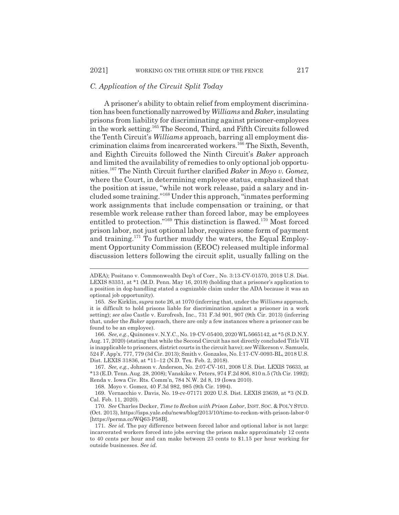#### *C. Application of the Circuit Split Today*

A prisoner's ability to obtain relief from employment discrimination has been functionally narrowed by *Williams* and *Baker*, insulating prisons from liability for discriminating against prisoner-employees in the work setting.165 The Second, Third, and Fifth Circuits followed the Tenth Circuit's *Williams* approach, barring all employment discrimination claims from incarcerated workers.<sup>166</sup> The Sixth, Seventh, and Eighth Circuits followed the Ninth Circuit's *Baker* approach and limited the availability of remedies to only optional job opportunities.167 The Ninth Circuit further clarified *Baker* in *Moyo v. Gomez*, where the Court, in determining employee status, emphasized that the position at issue, "while not work release, paid a salary and included some training."168 Under this approach, "inmates performing work assignments that include compensation or training, or that resemble work release rather than forced labor, may be employees entitled to protection."<sup>169</sup> This distinction is flawed.<sup>170</sup> Most forced prison labor, not just optional labor, requires some form of payment and training.171 To further muddy the waters, the Equal Employment Opportunity Commission (EEOC) released multiple informal discussion letters following the circuit split, usually falling on the

168. Moyo v. Gomez, 40 F.3d 982, 985 (9th Cir. 1994).

169. Vernacchio v. Davis, No. 19-cv-07171 2020 U.S. Dist. LEXIS 23639, at \*3 (N.D. Cal. Feb. 11, 2020).

ADEA); Positano v. Commonwealth Dep't of Corr., No. 3:13-CV-01570, 2018 U.S. Dist. LEXIS 83351, at \*1 (M.D. Penn. May 16, 2018) (holding that a prisoner's application to a position in dog-handling stated a cognizable claim under the ADA because it was an optional job opportunity).

<sup>165.</sup> *See* Kirklin, *supra* note 26, at 1070 (inferring that, under the *Williams* approach, it is difficult to hold prisons liable for discrimination against a prisoner in a work setting); *see also* Castle v. Eurofresh, Inc., 731 F.3d 901, 907 (9th Cir. 2013) (inferring that, under the *Baker* approach, there are only a few instances where a prisoner can be found to be an employee).

<sup>166.</sup> *See, e.g.*, Quinones v. N.Y.C., No. 19-CV-05400, 2020 WL 5665142, at \*5 (S.D.N.Y. Aug. 17, 2020) (stating that while the Second Circuit has not directly concluded Title VII is inapplicable to prisoners, district courts in the circuit have); *see* Wilkerson v. Samuels, 524 F. App'x. 777, 779 (3d Cir. 2013); Smith v. Gonzales, No. I:17-CV-0093-BL, 2018 U.S. Dist. LEXIS 31836, at \*11–12 (N.D. Tex. Feb. 2, 2018).

<sup>167.</sup> *See, e.g.*, Johnson v. Anderson, No. 2:07-CV-161, 2008 U.S. Dist. LEXIS 76633, at \*13 (E.D. Tenn. Aug. 28, 2008); Vanskike v. Peters, 974 F.2d 806, 810 n.5 (7th Cir. 1992); Renda v. Iowa Civ. Rts. Comm'n, 784 N.W. 2d 8, 19 (Iowa 2010).

<sup>170.</sup> *See* Charles Decker, *Time to Reckon with Prison Labor*, INST. SOC.&POL'Y STUD. (Oct. 2013), https://isps.yale.edu/news/blog/2013/10/time-to-reckon-with-prison-labor-0 [https://perma.cc/WQ63-P58B].

<sup>171.</sup> *See id.* The pay difference between forced labor and optional labor is not large: incarcerated workers forced into jobs serving the prison make approximately 12 cents to 40 cents per hour and can make between 23 cents to \$1.15 per hour working for outside businesses. *See id.*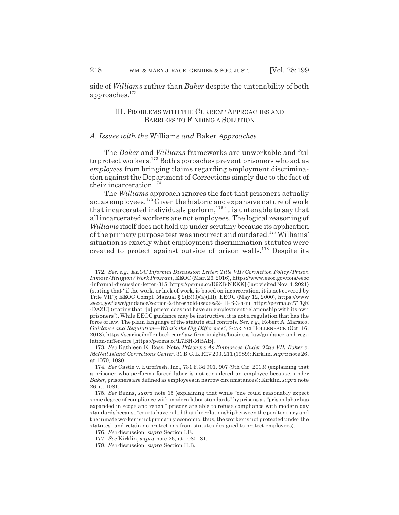side of *Williams* rather than *Baker* despite the untenability of both approaches.<sup>172</sup>

## III. PROBLEMS WITH THE CURRENT APPROACHES AND BARRIERS TO FINDING A SOLUTION

## *A. Issues with the* Williams *and* Baker *Approaches*

The *Baker* and *Williams* frameworks are unworkable and fail to protect workers.173 Both approaches prevent prisoners who act as *employees* from bringing claims regarding employment discrimination against the Department of Corrections simply due to the fact of their incarceration.<sup>174</sup>

The *Williams* approach ignores the fact that prisoners actually act as employees.175 Given the historic and expansive nature of work that incarcerated individuals perform,<sup>176</sup> it is untenable to say that all incarcerated workers are not employees. The logical reasoning of *Williams* itself does not hold up under scrutiny because its application of the primary purpose test was incorrect and outdated.177 Williams' situation is exactly what employment discrimination statutes were created to protect against outside of prison walls.178 Despite its

<sup>172.</sup> *See, e.g.*, *EEOC Informal Discussion Letter: Title VII/Conviction Policy/Prison Inmate/Religion/Work Program*, EEOC (Mar. 26, 2016), https://www.eeoc.gov/foia/eeoc -informal-discussion-letter-315 [https://perma.cc/D9ZB-NEKK] (last visited Nov. 4, 2021) (stating that "if the work, or lack of work, is based on incarceration, it is not covered by Title VII"); EEOC Compl. Manual § 2(B)(3)(a)(III), EEOC (May 12, 2000), https://www .eeoc.gov/laws/guidance/section-2-threshold-issues#2-III-B-3-a-iii [https://perma.cc/7TQR -DAZU] (stating that "[a] prison does not have an employment relationship with its own prisoners"). While EEOC guidance may be instructive, it is not a regulation that has the force of law. The plain language of the statute still controls. *See, e.g.*, Robert A. Marsico, *Guidance and Regulation*—*What's the Big Difference?*, SCARINCI HOLLENBACK (Oct. 16, 2018), https://scarincihollenbeck.com/law-firm-insights/business-law/guidance-and-regu lation-difference [https://perma.cc/L7BH-MBAB].

<sup>173.</sup> *See* Kathleen K. Ross, Note, *Prisoners As Employees Under Title VII: Baker v. McNeil Island Corrections Center*, 31 B.C.L. REV 203, 211 (1989); Kirklin, *supra* note 26, at 1070, 1080.

<sup>174.</sup> *See* Castle v. Eurofresh, Inc., 731 F.3d 901, 907 (9th Cir. 2013) (explaining that a prisoner who performs forced labor is not considered an employee because, under *Baker*, prisoners are defined as employees in narrow circumstances); Kirklin, *supra* note 26, at 1081.

<sup>175.</sup> *See* Benns, *supra* note 15 (explaining that while "one could reasonably expect some degree of compliance with modern labor standards" by prisons as "prison labor has expanded in scope and reach," prisons are able to refuse compliance with modern day standards because "courts have ruled that the relationship between the penitentiary and the inmate worker is not primarily economic; thus, the worker is not protected under the statutes" and retain no protections from statutes designed to protect employees).

<sup>176.</sup> *See* discussion, *supra* Section I.E.

<sup>177.</sup> *See* Kirklin, *supra* note 26, at 1080–81.

<sup>178.</sup> *See* discussion, *supra* Section II.B.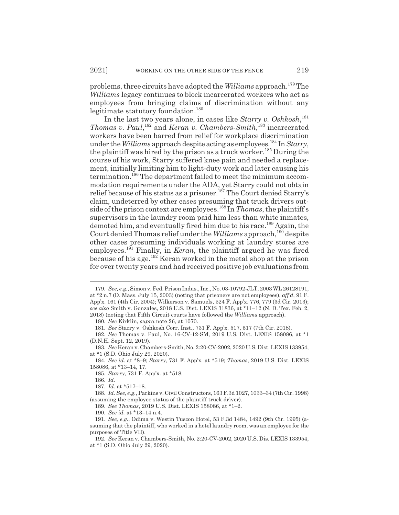problems, three circuits have adopted the *Williams* approach.179 The *Williams* legacy continues to block incarcerated workers who act as employees from bringing claims of discrimination without any legitimate statutory foundation.<sup>180</sup>

In the last two years alone, in cases like *Starry v. Oshkosh*, 181 *Thomas v. Paul*,<sup>182</sup> and *Keran v. Chambers-Smith*,<sup>183</sup> incarcerated workers have been barred from relief for workplace discrimination under the *Williams* approach despite acting as employees.<sup>184</sup> In *Starry*, the plaintiff was hired by the prison as a truck worker.<sup>185</sup> During the course of his work, Starry suffered knee pain and needed a replacement, initially limiting him to light-duty work and later causing his termination.186 The department failed to meet the minimum accommodation requirements under the ADA, yet Starry could not obtain relief because of his status as a prisoner.<sup>187</sup> The Court denied Starry's claim, undeterred by other cases presuming that truck drivers outside of the prison context are employees.188 In *Thomas*, the plaintiff's supervisors in the laundry room paid him less than white inmates, demoted him, and eventually fired him due to his race.<sup>189</sup> Again, the Court denied Thomas relief under the *Williams* approach,<sup>190</sup> despite other cases presuming individuals working at laundry stores are employees.<sup>191</sup> Finally, in *Keran*, the plaintiff argued he was fired because of his age.192 Keran worked in the metal shop at the prison for over twenty years and had received positive job evaluations from

186. *Id.*

189. *See Thomas*, 2019 U.S. Dist. LEXIS 158086, at \*1–2.

<sup>179.</sup> *See, e.g.*, Simon v. Fed. Prison Indus., Inc., No. 03-10792-JLT, 2003 WL 26128191, at \*2 n.7 (D. Mass. July 15, 2003) (noting that prisoners are not employees), *aff'd*, 91 F. App'x. 161 (4th Cir. 2004); Wilkerson v. Samuels, 524 F. App'x. 776, 779 (3d Cir. 2013); *see also* Smith v. Gonzales, 2018 U.S. Dist. LEXIS 31836, at \*11–12 (N. D. Tex. Feb. 2, 2018) (noting that Fifth Circuit courts have followed the *Williams* approach).

<sup>180.</sup> *See* Kirklin, *supra* note 26, at 1070.

<sup>181.</sup> *See* Starry v. Oshkosh Corr. Inst., 731 F. App'x. 517, 517 (7th Cir. 2018).

<sup>182.</sup> *See* Thomas v. Paul, No. 16-CV-12-SM, 2019 U.S. Dist. LEXIS 158086, at \*1 (D.N.H. Sept. 12, 2019).

<sup>183.</sup> *See* Keran v. Chambers-Smith, No. 2:20-CV-2002, 2020 U.S. Dist. LEXIS 133954, at \*1 (S.D. Ohio July 29, 2020).

<sup>184.</sup> *See id.* at \*8–9; *Starry*, 731 F. App'x. at \*519; *Thomas*, 2019 U.S. Dist. LEXIS 158086, at \*13–14, 17.

<sup>185.</sup> *Starry*, 731 F. App'x. at \*518.

<sup>187.</sup> *Id.* at \*517–18.

<sup>188.</sup> *Id. See, e.g.*, Parkins v. Civil Constructors, 163 F.3d 1027, 1033–34 (7th Cir. 1998) (assuming the employee status of the plaintiff truck driver).

<sup>190.</sup> *See id.* at \*13–14 n.4.

<sup>191.</sup> *See, e.g.*, Odima v. Westin Tuscon Hotel, 53 F.3d 1484, 1492 (9th Cir. 1995) (assuming that the plaintiff, who worked in a hotel laundry room, was an employee for the purposes of Title VII).

<sup>192.</sup> *See* Keran v. Chambers-Smith, No. 2:20-CV-2002, 2020 U.S. Dis. LEXIS 133954, at \*1 (S.D. Ohio July 29, 2020).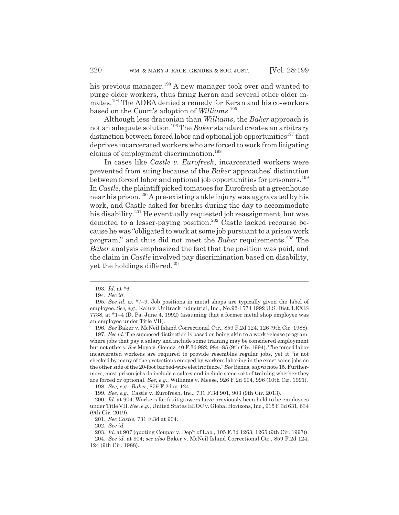his previous manager.<sup>193</sup> A new manager took over and wanted to purge older workers, thus firing Keran and several other older inmates.194 The ADEA denied a remedy for Keran and his co-workers based on the Court's adoption of *Williams*. 195

Although less draconian than *Williams*, the *Baker* approach is not an adequate solution.196 The *Baker* standard creates an arbitrary distinction between forced labor and optional job opportunities<sup>197</sup> that deprives incarcerated workers who are forced to work from litigating claims of employment discrimination.<sup>198</sup>

In cases like *Castle v. Eurofresh*, incarcerated workers were prevented from suing because of the *Baker* approaches' distinction between forced labor and optional job opportunities for prisoners.<sup>199</sup> In *Castle*, the plaintiff picked tomatoes for Eurofresh at a greenhouse near his prison.200 A pre-existing ankle injury was aggravated by his work, and Castle asked for breaks during the day to accommodate his disability.<sup>201</sup> He eventually requested job reassignment, but was demoted to a lesser-paying position.<sup>202</sup> Castle lacked recourse because he was "obligated to work at some job pursuant to a prison work program," and thus did not meet the *Baker* requirements.203 The *Baker* analysis emphasized the fact that the position was paid, and the claim in *Castle* involved pay discrimination based on disability, yet the holdings differed.<sup>204</sup>

196. *See* Baker v. McNeil Island Correctional Ctr., 859 F.2d 124, 126 (9th Cir. 1988).

197. *See id.* The supposed distinction is based on being akin to a work release program, where jobs that pay a salary and include some training may be considered employment but not others. *See* Moyo v. Gomez, 40 F.3d 982, 984–85 (9th Cir. 1994). The forced labor incarcerated workers are required to provide resembles regular jobs, yet it "is not checked by many of the protections enjoyed by workers laboring in the exact same jobs on the other side of the 20-foot barbed-wire electric fence." *See* Benns, *supra* note 15. Furthermore, most prison jobs do include a salary and include some sort of training whether they are forced or optional. *See, e.g.*, Williams v. Meese, 926 F.2d 994, 996 (10th Cir. 1991).

198. *See, e.g.*, *Baker*, 859 F.2d at 124.

199. *See, e.g.*, Castle v. Eurofresh, Inc., 731 F.3d 901, 903 (9th Cir. 2013).

201. *See Castle*, 731 F.3d at 904.

202. *See id.*

<sup>193.</sup> *Id.* at \*6.

<sup>194.</sup> *See id.*

<sup>195.</sup> *See id.* at \*7–9. Job positions in metal shops are typically given the label of employee. *See, e.g.*, Kalu v. Unitrack Industrial, Inc., No.92-1574 1992 U.S. Dist. LEXIS 7738, at \*1–4 (D. Pa. June 4, 1992) (assuming that a former metal shop employee was an employee under Title VII).

<sup>200.</sup> *Id.* at 904. Workers for fruit growers have previously been held to be employees under Title VII. *See, e.g.*, United States EEOC v. Global Horizons, Inc., 915 F.3d 631, 634 (9th Cir. 2019).

<sup>203.</sup> *Id.* at 907 (quoting Coupar v. Dep't of Lab., 105 F.3d 1263, 1265 (9th Cir. 1997)). 204. *See id.* at 904; *see also* Baker v. McNeil Island Correctional Ctr., 859 F.2d 124,

<sup>124 (9</sup>th Cir. 1988).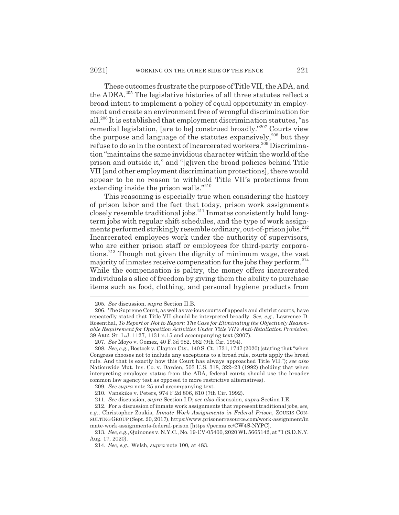These outcomes frustrate the purpose of Title VII, the ADA, and the ADEA.205 The legislative histories of all three statutes reflect a broad intent to implement a policy of equal opportunity in employment and create an environment free of wrongful discrimination for all.206 It is established that employment discrimination statutes, "as remedial legislation, [are to be] construed broadly."207 Courts view the purpose and language of the statutes expansively,<sup>208</sup> but they refuse to do so in the context of incarcerated workers.<sup>209</sup> Discrimination "maintains the same invidious character within the world of the prison and outside it," and "[g]iven the broad policies behind Title VII [and other employment discrimination protections], there would appear to be no reason to withhold Title VII's protections from extending inside the prison walls."<sup>210</sup>

This reasoning is especially true when considering the history of prison labor and the fact that today, prison work assignments closely resemble traditional jobs.<sup>211</sup> Inmates consistently hold longterm jobs with regular shift schedules, and the type of work assignments performed strikingly resemble ordinary, out-of-prison jobs.<sup>212</sup> Incarcerated employees work under the authority of supervisors, who are either prison staff or employees for third-party corporations.213 Though not given the dignity of minimum wage, the vast majority of inmates receive compensation for the jobs they perform. $^{214}$ While the compensation is paltry, the money offers incarcerated individuals a slice of freedom by giving them the ability to purchase items such as food, clothing, and personal hygiene products from

<sup>205.</sup> *See* discussion, *supra* Section II.B.

<sup>206.</sup> The Supreme Court, as well as various courts of appeals and district courts, have repeatedly stated that Title VII should be interpreted broadly. *See, e.g.*, Lawrence D. Rosenthal, *To Report or Not to Report: The Case for Eliminating the Objectively Reasonable Requirement for Opposition Activities Under Title VII's Anti-Retaliation Provision*, 39 ARIZ. ST. L.J. 1127, 1131 n.15 and accompanying text (2007).

<sup>207.</sup> *See* Moyo v. Gomez, 40 F.3d 982, 982 (9th Cir. 1994).

<sup>208.</sup> *See, e.g.*, Bostock v. Clayton Cty., 140 S. Ct. 1731, 1747 (2020) (stating that "when Congress chooses not to include any exceptions to a broad rule, courts apply the broad rule. And that is exactly how this Court has always approached Title VII."); *see also* Nationwide Mut. Ins. Co. v. Darden, 503 U.S. 318, 322–23 (1992) (holding that when interpreting employee status from the ADA, federal courts should use the broader common law agency test as opposed to more restrictive alternatives).

<sup>209.</sup> *See supra* note 25 and accompanying text.

<sup>210.</sup> Vanskike v. Peters, 974 F.2d 806, 810 (7th Cir. 1992).

<sup>211.</sup> *See* discussion, *supra* Section I.D; *see also* discussion, *supra* Section I.E.

<sup>212.</sup> For a discussion of inmate work assignments that represent traditional jobs, *see, e.g.*, Christopher Zoukis, *Inmate Work Assignments in Federal Prison*, ZOUKIS CON-SULTING GROUP (Sept. 20, 2017), https://www.prisonerresource.com/work-assignment/in mate-work-assignments-federal-prison [https://perma.cc/CW4S-NYPC].

<sup>213.</sup> *See, e.g.*, Quinones v. N.Y.C., No. 19-CV-05400, 2020 WL 5665142, at \*1 (S.D.N.Y. Aug. 17, 2020).

<sup>214.</sup> *See, e.g.*, Welsh, *supra* note 100, at 483.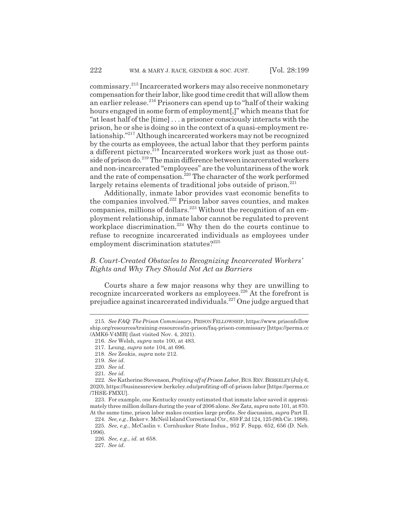commissary.215 Incarcerated workers may also receive nonmonetary compensation for their labor, like good time credit that will allow them an earlier release.<sup>216</sup> Prisoners can spend up to "half of their waking" hours engaged in some form of employment[,]" which means that for "at least half of the [time] . . . a prisoner consciously interacts with the prison, he or she is doing so in the context of a quasi-employment relationship."217 Although incarcerated workers may not be recognized by the courts as employees, the actual labor that they perform paints a different picture.<sup>218</sup> Incarcerated workers work just as those outside of prison do.219 The main difference between incarcerated workers and non-incarcerated "employees" are the voluntariness of the work and the rate of compensation.<sup>220</sup> The character of the work performed largely retains elements of traditional jobs outside of prison.<sup>221</sup>

Additionally, inmate labor provides vast economic benefits to the companies involved.<sup>222</sup> Prison labor saves counties, and makes companies, millions of dollars.<sup>223</sup> Without the recognition of an employment relationship, inmate labor cannot be regulated to prevent workplace discrimination.<sup>224</sup> Why then do the courts continue to refuse to recognize incarcerated individuals as employees under employment discrimination statutes?<sup>225</sup>

## *B. Court-Created Obstacles to Recognizing Incarcerated Workers' Rights and Why They Should Not Act as Barriers*

Courts share a few major reasons why they are unwilling to recognize incarcerated workers as employees.226 At the forefront is prejudice against incarcerated individuals.227 One judge argued that

<sup>215.</sup> *See FAQ: The Prison Commissary*, PRISON FELLOWSHIP, https://www.prisonfellow ship.org/resources/training-resources/in-prison/faq-prison-commissary [https://perma.cc /AMK6-V4MB] (last visited Nov. 4, 2021).

<sup>216.</sup> *See* Welsh, *supra* note 100, at 483.

<sup>217.</sup> Leung, *supra* note 104, at 696.

<sup>218.</sup> *See* Zoukis, *supra* note 212.

<sup>219.</sup> *See id.*

<sup>220.</sup> *See id.*

<sup>221.</sup> *See id.*

<sup>222.</sup> *See* Katherine Stevenson, *Profiting off of Prison Labor*, BUS.REV.BERKELEY (July 6, 2020), https://businessreview.berkeley.edu/profiting-off-of-prison-labor [https://perma.cc /7HSE-FMXU].

<sup>223.</sup> For example, one Kentucky county estimated that inmate labor saved it approximately three million dollars during the year of 2006 alone. *See* Zatz, *supra* note 101, at 870. At the same time, prison labor makes counties large profits. *See* discussion, *supra* Part II.

<sup>224.</sup> *See, e.g.*, Baker v. McNeil Island Correctional Ctr., 859 F.2d 124, 125 (9th Cir. 1988). 225. *See, e.g.*, McCaslin v. Cornhusker State Indus., 952 F. Supp. 652, 656 (D. Neb.

<sup>1996).</sup>

<sup>226.</sup> *See, e.g.*, *id.* at 658.

<sup>227.</sup> *See id.*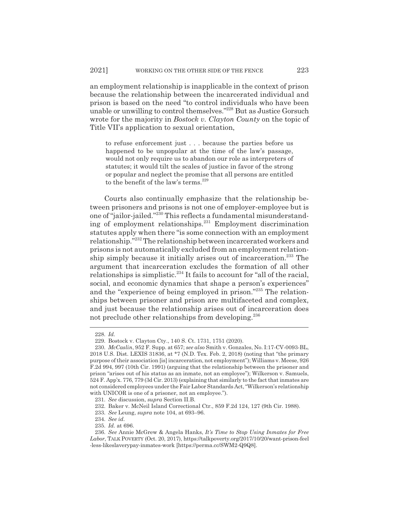an employment relationship is inapplicable in the context of prison because the relationship between the incarcerated individual and prison is based on the need "to control individuals who have been unable or unwilling to control themselves."228 But as Justice Gorsuch wrote for the majority in *Bostock v. Clayton County* on the topic of Title VII's application to sexual orientation,

to refuse enforcement just . . . because the parties before us happened to be unpopular at the time of the law's passage, would not only require us to abandon our role as interpreters of statutes; it would tilt the scales of justice in favor of the strong or popular and neglect the promise that all persons are entitled to the benefit of the law's terms.<sup>229</sup>

Courts also continually emphasize that the relationship between prisoners and prisons is not one of employer-employee but is one of "jailor-jailed."230 This reflects a fundamental misunderstanding of employment relationships.231 Employment discrimination statutes apply when there "is some connection with an employment relationship."232 The relationship between incarcerated workers and prisons is not automatically excluded from an employment relationship simply because it initially arises out of incarceration.233 The argument that incarceration excludes the formation of all other relationships is simplistic.234 It fails to account for "all of the racial, social, and economic dynamics that shape a person's experiences" and the "experience of being employed in prison."235 The relationships between prisoner and prison are multifaceted and complex, and just because the relationship arises out of incarceration does not preclude other relationships from developing.<sup>236</sup>

<sup>228.</sup> *Id.*

<sup>229.</sup> Bostock v. Clayton Cty., 140 S. Ct. 1731, 1751 (2020).

<sup>230.</sup> *McCaslin*, 952 F. Supp. at 657; *see also* Smith v. Gonzales, No. I:17-CV-0093-BL, 2018 U.S. Dist. LEXIS 31836, at \*7 (N.D. Tex. Feb. 2, 2018) (noting that "the primary purpose of their association [is] incarceration, not employment"); Williams v. Meese, 926 F.2d 994, 997 (10th Cir. 1991) (arguing that the relationship between the prisoner and prison "arises out of his status as an inmate, not an employee"); Wilkerson v. Samuels, 524 F. App'x. 776, 779 (3d Cir. 2013) (explaining that similarly to the fact that inmates are not considered employees under the Fair Labor Standards Act, "Wilkerson's relationship with UNICOR is one of a prisoner, not an employee.").

<sup>231.</sup> *See* discussion, *supra* Section II.B.

<sup>232.</sup> Baker v. McNeil Island Correctional Ctr., 859 F.2d 124, 127 (9th Cir. 1988).

<sup>233.</sup> *See* Leung, *supra* note 104, at 693–96.

<sup>234.</sup> *See id.*

<sup>235.</sup> *Id.* at 696.

<sup>236.</sup> *See* Annie McGrew & Angela Hanks, *It's Time to Stop Using Inmates for Free Labor*, TALK POVERTY (Oct. 20, 2017), https://talkpoverty.org/2017/10/20/want-prison-feel -less-likeslaverypay-inmates-work [https://perma.cc/SWM2-Q9Q8].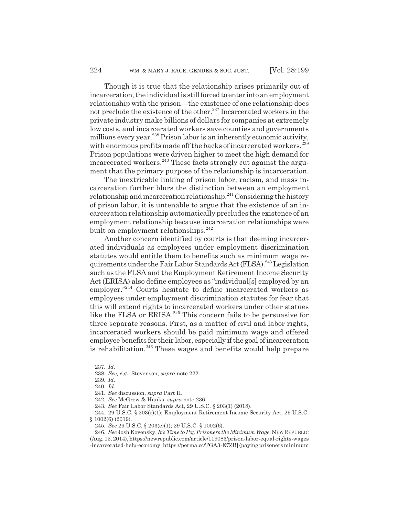Though it is true that the relationship arises primarily out of incarceration, the individual is still forced to enter into an employment relationship with the prison—the existence of one relationship does not preclude the existence of the other.<sup>237</sup> Incarcerated workers in the private industry make billions of dollars for companies at extremely low costs, and incarcerated workers save counties and governments millions every year.<sup>238</sup> Prison labor is an inherently economic activity, with enormous profits made off the backs of incarcerated workers.<sup>239</sup> Prison populations were driven higher to meet the high demand for incarcerated workers.<sup>240</sup> These facts strongly cut against the argument that the primary purpose of the relationship is incarceration.

The inextricable linking of prison labor, racism, and mass incarceration further blurs the distinction between an employment relationship and incarceration relationship.<sup>241</sup> Considering the history of prison labor, it is untenable to argue that the existence of an incarceration relationship automatically precludes the existence of an employment relationship because incarceration relationships were built on employment relationships.<sup>242</sup>

Another concern identified by courts is that deeming incarcerated individuals as employees under employment discrimination statutes would entitle them to benefits such as minimum wage requirements under the Fair Labor Standards Act (FLSA).<sup>243</sup> Legislation such as the FLSA and the Employment Retirement Income Security Act (ERISA) also define employees as "individual[s] employed by an employer."244 Courts hesitate to define incarcerated workers as employees under employment discrimination statutes for fear that this will extend rights to incarcerated workers under other statues like the FLSA or ERISA.<sup>245</sup> This concern fails to be persuasive for three separate reasons. First, as a matter of civil and labor rights, incarcerated workers should be paid minimum wage and offered employee benefits for their labor, especially if the goal of incarceration is rehabilitation.<sup>246</sup> These wages and benefits would help prepare

<sup>237.</sup> *Id.*

<sup>238.</sup> *See, e.g.*, Stevenson, *supra* note 222.

<sup>239.</sup> *Id.*

<sup>240.</sup> *Id.*

<sup>241.</sup> *See* discussion, *supra* Part II.

<sup>242.</sup> *See* McGrew & Hanks, *supra* note 236.

<sup>243.</sup> *See* Fair Labor Standards Act, 29 U.S.C. § 203(1) (2018).

<sup>244. 29</sup> U.S.C. § 203(e)(1); Employment Retirement Income Security Act, 29 U.S.C. § 1002(6) (2019).

<sup>245.</sup> *See* 29 U.S.C. § 203(e)(1); 29 U.S.C. § 1002(6).

<sup>246.</sup> *See* Josh Kovensky, *It's Time to Pay Prisoners the Minimum Wage*, NEWREPUBLIC (Aug. 15, 2014), https://newrepublic.com/article/119083/prison-labor-equal-rights-wages -incarcerated-help-economy [https://perma.cc/TGA3-E7ZB] (paying prisoners minimum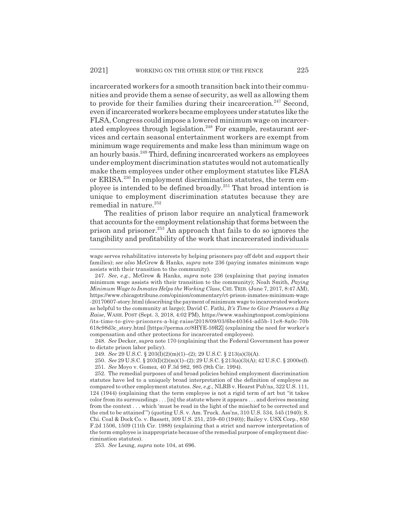incarcerated workers for a smooth transition back into their communities and provide them a sense of security, as well as allowing them to provide for their families during their incarceration.<sup>247</sup> Second, even if incarcerated workers became employees under statutes like the FLSA, Congress could impose a lowered minimum wage on incarcerated employees through legislation.<sup>248</sup> For example, restaurant services and certain seasonal entertainment workers are exempt from minimum wage requirements and make less than minimum wage on an hourly basis.249 Third, defining incarcerated workers as employees under employment discrimination statutes would not automatically make them employees under other employment statutes like FLSA or ERISA.250 In employment discrimination statutes, the term employee is intended to be defined broadly.251 That broad intention is unique to employment discrimination statutes because they are remedial in nature. $252$ 

The realities of prison labor require an analytical framework that accounts for the employment relationship that forms between the prison and prisoner.<sup>253</sup> An approach that fails to do so ignores the tangibility and profitability of the work that incarcerated individuals

248. *See* Decker, *supra* note 170 (explaining that the Federal Government has power to dictate prison labor policy).

253. *See* Leung, *supra* note 104, at 696.

wage serves rehabilitative interests by helping prisoners pay off debt and support their families); *see also* McGrew & Hanks, *supra* note 236 (paying inmates minimum wage assists with their transition to the community).

<sup>247.</sup> *See, e.g.*, McGrew & Hanks, *supra* note 236 (explaining that paying inmates minimum wage assists with their transition to the community); Noah Smith, *Paying Minimum Wage to Inmates Helps the Working Class*, CHI. TRIB. (June 7, 2017, 8:47 AM), https://www.chicagotribune.com/opinion/commentary/ct-prison-inmates-minimum-wage -20170607-story.html (describing the payment of minimum wage to incarcerated workers as helpful to the community at large); David C. Fathi, *It's Time to Give Prisoners a Big Raise*, WASH. POST (Sept. 3, 2018, 4:02 PM), https://www.washingtonpost.com/opinions /its-time-to-give-prisoners-a-big-raise/2018/09/03/6be40364-ad5b-11e8-8a0c-70b 618c98d3c\_story.html [https://perma.cc/8HYE-59RZ] (explaining the need for worker's compensation and other protections for incarcerated employees).

<sup>249.</sup> *See* 29 U.S.C. § 203(I)(2)(m)(1)–(2); 29 U.S.C. § 213(a)(3)(A).

<sup>250.</sup> *See* 29 U.S.C. § 203(I)(2)(m)(1)–(2); 29 U.S.C. § 213(a)(3)(A); 42 U.S.C. § 2000e(f).

<sup>251.</sup> *See* Moyo v. Gomez, 40 F.3d 982, 985 (9th Cir. 1994).

<sup>252.</sup> The remedial purposes of and broad policies behind employment discrimination statutes have led to a uniquely broad interpretation of the definition of employee as compared to other employment statutes. *See, e.g.*, NLRB v. Hearst Pub'ns, 322 U.S. 111, 124 (1944) (explaining that the term employee is not a rigid term of art but "it takes color from its surroundings . . . [in] the statute where it appears . . . and derives meaning from the context . . . which 'must be read in the light of the mischief to be corrected and the end to be attained'") (quoting U.S. v. Am. Truck. Ass'ns, 310 U.S. 534, 545 (1940); S. Chi. Coal & Dock Co. v. Bassett, 309 U.S. 251, 259–60 (1940)); Bailey v. USX Corp., 850 F.2d 1506, 1509 (11th Cir. 1988) (explaining that a strict and narrow interpretation of the term employee is inappropriate because of the remedial purpose of employment discrimination statutes).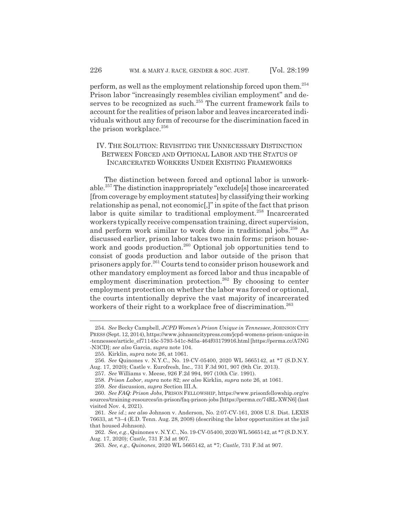perform, as well as the employment relationship forced upon them.254 Prison labor "increasingly resembles civilian employment" and deserves to be recognized as such. $^{255}$  The current framework fails to account for the realities of prison labor and leaves incarcerated individuals without any form of recourse for the discrimination faced in the prison workplace. $256$ 

## IV. THE SOLUTION: REVISITING THE UNNECESSARY DISTINCTION BETWEEN FORCED AND OPTIONAL LABOR AND THE STATUS OF INCARCERATED WORKERS UNDER EXISTING FRAMEWORKS

The distinction between forced and optional labor is unworkable.257 The distinction inappropriately "exclude[s] those incarcerated [from coverage by employment statutes] by classifying their working relationship as penal, not economic[,]" in spite of the fact that prison labor is quite similar to traditional employment.<sup>258</sup> Incarcerated workers typically receive compensation training, direct supervision, and perform work similar to work done in traditional jobs.<sup>259</sup> As discussed earlier, prison labor takes two main forms: prison housework and goods production.<sup>260</sup> Optional job opportunities tend to consist of goods production and labor outside of the prison that prisoners apply for.261 Courts tend to consider prison housework and other mandatory employment as forced labor and thus incapable of employment discrimination protection.262 By choosing to center employment protection on whether the labor was forced or optional, the courts intentionally deprive the vast majority of incarcerated workers of their right to a workplace free of discrimination.<sup>263</sup>

<sup>254.</sup> *See* Becky Campbell, *JCPD Women's Prison Unique in Tennessee*, JOHNSON CITY PRESS (Sept. 12, 2014), https://www.johnsoncitypress.com/jcpd-womens-prison-unique-in -tennessee/article\_ef71145c-5793-541c-8d5a-464f03179916.html [https://perma.cc/A7NG -N3CD]; *see also* Garcia, *supra* note 104.

<sup>255.</sup> Kirklin, *supra* note 26, at 1061.

<sup>256.</sup> *See* Quinones v. N.Y.C., No. 19-CV-05400, 2020 WL 5665142, at \*7 (S.D.N.Y. Aug. 17, 2020); Castle v. Eurofresh, Inc., 731 F.3d 901, 907 (9th Cir. 2013).

<sup>257.</sup> *See* Williams v. Meese, 926 F.2d 994, 997 (10th Cir. 1991).

<sup>258.</sup> *Prison Labor*, *supra* note 82; *see also* Kirklin, *supra* note 26, at 1061.

<sup>259.</sup> *See* discussion, *supra* Section III.A.

<sup>260.</sup> *See FAQ: Prison Jobs*, PRISON FELLOWSHIP, https://www.prisonfellowship.org/re sources/training-resources/in-prison/faq-prison-jobs [https://perma.cc/74RL-XWN6] (last visited Nov. 4, 2021).

<sup>261.</sup> *See id.*; *see also* Johnson v. Anderson, No. 2:07-CV-161, 2008 U.S. Dist. LEXIS 76633, at \*3–4 (E.D. Tenn. Aug. 28, 2008) (describing the labor opportunities at the jail that housed Johnson).

<sup>262.</sup> *See, e.g.*, Quinones v. N.Y.C., No. 19-CV-05400, 2020 WL 5665142, at \*7 (S.D.N.Y. Aug. 17, 2020); *Castle*, 731 F.3d at 907.

<sup>263.</sup> *See, e.g.*, *Quinones*, 2020 WL 5665142, at \*7; *Castle*, 731 F.3d at 907.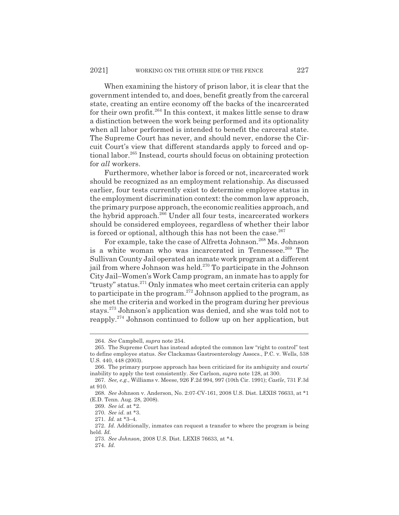When examining the history of prison labor, it is clear that the government intended to, and does, benefit greatly from the carceral state, creating an entire economy off the backs of the incarcerated for their own profit.<sup>264</sup> In this context, it makes little sense to draw a distinction between the work being performed and its optionality when all labor performed is intended to benefit the carceral state. The Supreme Court has never, and should never, endorse the Circuit Court's view that different standards apply to forced and optional labor.<sup>265</sup> Instead, courts should focus on obtaining protection for *all* workers.

Furthermore, whether labor is forced or not, incarcerated work should be recognized as an employment relationship. As discussed earlier, four tests currently exist to determine employee status in the employment discrimination context: the common law approach, the primary purpose approach, the economic realities approach, and the hybrid approach.266 Under all four tests, incarcerated workers should be considered employees, regardless of whether their labor is forced or optional, although this has not been the case. $267$ 

For example, take the case of Alfretta Johnson.<sup>268</sup> Ms. Johnson is a white woman who was incarcerated in Tennessee.<sup>269</sup> The Sullivan County Jail operated an inmate work program at a different jail from where Johnson was held.<sup>270</sup> To participate in the Johnson City Jail–Women's Work Camp program, an inmate has to apply for "trusty" status.271 Only inmates who meet certain criteria can apply to participate in the program.272 Johnson applied to the program, as she met the criteria and worked in the program during her previous stays.273 Johnson's application was denied, and she was told not to reapply.274 Johnson continued to follow up on her application, but

<sup>264.</sup> *See* Campbell, *supra* note 254.

<sup>265.</sup> The Supreme Court has instead adopted the common law "right to control" test to define employee status. *See* Clackamas Gastroenterology Assocs., P.C. v. Wells, 538 U.S. 440, 448 (2003).

<sup>266.</sup> The primary purpose approach has been criticized for its ambiguity and courts' inability to apply the test consistently. *See* Carlson, *supra* note 128, at 300.

<sup>267.</sup> *See, e.g.*, Williams v. Meese, 926 F.2d 994, 997 (10th Cir. 1991); *Castle*, 731 F.3d at 910.

<sup>268.</sup> *See* Johnson v. Anderson, No. 2:07-CV-161, 2008 U.S. Dist. LEXIS 76633, at \*1 (E.D. Tenn. Aug. 28, 2008).

<sup>269.</sup> *See id.* at \*2.

<sup>270.</sup> *See id.* at \*3.

<sup>271.</sup> *Id.* at \*3–4.

<sup>272.</sup> *Id.* Additionally, inmates can request a transfer to where the program is being held. *Id.*

<sup>273.</sup> *See Johnson*, 2008 U.S. Dist. LEXIS 76633, at \*4.

<sup>274.</sup> *Id.*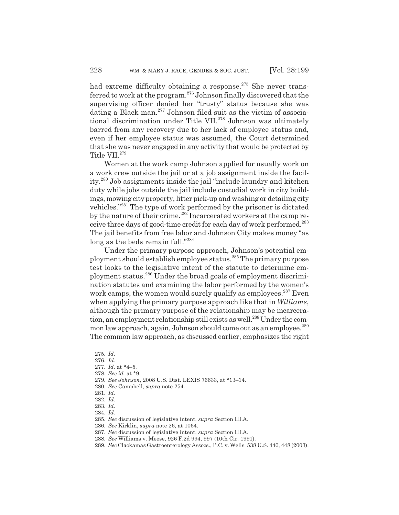had extreme difficulty obtaining a response.<sup>275</sup> She never transferred to work at the program.276 Johnson finally discovered that the supervising officer denied her "trusty" status because she was dating a Black man.<sup>277</sup> Johnson filed suit as the victim of associational discrimination under Title VII.<sup>278</sup> Johnson was ultimately barred from any recovery due to her lack of employee status and, even if her employee status was assumed, the Court determined that she was never engaged in any activity that would be protected by Title VII.<sup>279</sup>

Women at the work camp Johnson applied for usually work on a work crew outside the jail or at a job assignment inside the facility.280 Job assignments inside the jail "include laundry and kitchen duty while jobs outside the jail include custodial work in city buildings, mowing city property, litter pick-up and washing or detailing city vehicles."281 The type of work performed by the prisoner is dictated by the nature of their crime.<sup>282</sup> Incarcerated workers at the camp receive three days of good-time credit for each day of work performed.283 The jail benefits from free labor and Johnson City makes money "as long as the beds remain full."284

Under the primary purpose approach, Johnson's potential employment should establish employee status.285 The primary purpose test looks to the legislative intent of the statute to determine employment status.286 Under the broad goals of employment discrimination statutes and examining the labor performed by the women's work camps, the women would surely qualify as employees.<sup>287</sup> Even when applying the primary purpose approach like that in *Williams*, although the primary purpose of the relationship may be incarceration, an employment relationship still exists as well.<sup>288</sup> Under the common law approach, again, Johnson should come out as an employee.<sup>289</sup> The common law approach, as discussed earlier, emphasizes the right

<sup>275.</sup> *Id.*

<sup>276.</sup> *Id.*

<sup>277.</sup> *Id.* at \*4–5.

<sup>278.</sup> *See id.* at \*9.

<sup>279.</sup> *See Johnson*, 2008 U.S. Dist. LEXIS 76633, at \*13–14.

<sup>280.</sup> *See* Campbell, *supra* note 254.

<sup>281.</sup> *Id.*

<sup>282.</sup> *Id.*

<sup>283.</sup> *Id.*

<sup>284.</sup> *Id.*

<sup>285.</sup> *See* discussion of legislative intent, *supra* Section III.A.

<sup>286.</sup> *See* Kirklin, *supra* note 26, at 1064.

<sup>287.</sup> *See* discussion of legislative intent, *supra* Section III.A.

<sup>288.</sup> *See* Williams v. Meese, 926 F.2d 994, 997 (10th Cir. 1991).

<sup>289.</sup> *See* Clackamas Gastroenterology Assocs., P.C. v. Wells, 538 U.S. 440, 448 (2003).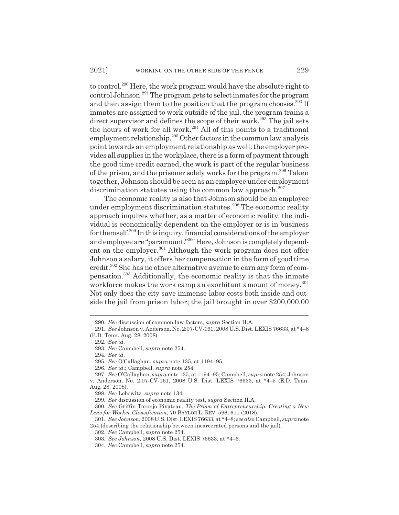to control.290 Here, the work program would have the absolute right to control Johnson.291 The program gets to select inmates for the program and then assign them to the position that the program chooses.<sup>292</sup> If inmates are assigned to work outside of the jail, the program trains a direct supervisor and defines the scope of their work.<sup>293</sup> The jail sets the hours of work for all work.294 All of this points to a traditional employment relationship.<sup>295</sup> Other factors in the common law analysis point towards an employment relationship as well: the employer provides all supplies in the workplace, there is a form of payment through the good time credit earned, the work is part of the regular business of the prison, and the prisoner solely works for the program.296 Taken together, Johnson should be seen as an employee under employment discrimination statutes using the common law approach.<sup>297</sup>

The economic reality is also that Johnson should be an employee under employment discrimination statutes.<sup>298</sup> The economic reality approach inquires whether, as a matter of economic reality, the individual is economically dependent on the employer or is in business for themself.299 In this inquiry, financial considerations of the employer and employee are "paramount."300 Here, Johnson is completely dependent on the employer.<sup>301</sup> Although the work program does not offer Johnson a salary, it offers her compensation in the form of good time credit.302 She has no other alternative avenue to earn any form of compensation.303 Additionally, the economic reality is that the inmate workforce makes the work camp an exorbitant amount of money.<sup>304</sup> Not only does the city save immense labor costs both inside and outside the jail from prison labor; the jail brought in over \$200,000.00

<sup>290.</sup> *See* discussion of common law factors, *supra* Section II.A.

<sup>291.</sup> *See* Johnson v. Anderson, No. 2:07-CV-161, 2008 U.S. Dist. LEXIS 76633, at \*4–8 (E.D. Tenn. Aug. 28, 2008).

<sup>292.</sup> *See id.*

<sup>293.</sup> *See* Campbell, *supra* note 254.

<sup>294.</sup> *See id.*

<sup>295.</sup> *See* O'Callaghan, *supra* note 135, at 1194–95.

<sup>296.</sup> *See id.*; Campbell, *supra* note 254.

<sup>297.</sup> *See* O'Callaghan, *supra* note 135, at 1194–95; Campbell, *supra* note 254; Johnson v. Anderson, No. 2:07-CV-161, 2008 U.S. Dist. LEXIS 76633, at \*4–5 (E.D. Tenn. Aug. 28, 2008).

<sup>298.</sup> *See* Lebowitz, *supra* note 134.

<sup>299.</sup> *See* discussion of economic reality test, *supra* Section II.A.

<sup>300.</sup> *See* Griffin Toronjo Pivateau, *The Prism of Entrepreneurship: Creating a New Lens for Worker Classification*, 70 BAYLOR L. REV. 596, 611 (2018).

<sup>301.</sup> *See Johnson*, 2008 U.S. Dist. LEXIS 76633, at \*4–8; *see also* Campbell, *supra* note 254 (describing the relationship between incarcerated persons and the jail).

<sup>302.</sup> *See* Campbell, *supra* note 254.

<sup>303.</sup> *See Johnson*, 2008 U.S. Dist. LEXIS 76633, at \*4–6.

<sup>304.</sup> *See* Campbell, *supra* note 254.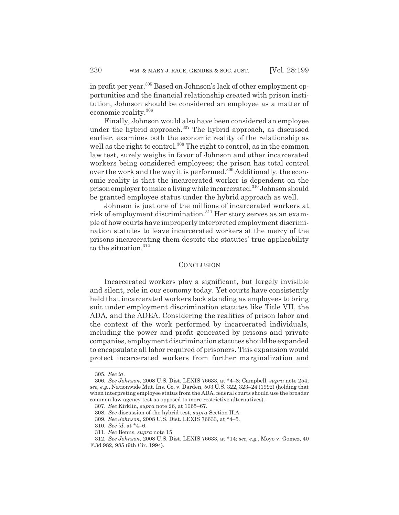in profit per year.305 Based on Johnson's lack of other employment opportunities and the financial relationship created with prison institution, Johnson should be considered an employee as a matter of economic reality.<sup>306</sup>

Finally, Johnson would also have been considered an employee under the hybrid approach.<sup>307</sup> The hybrid approach, as discussed earlier, examines both the economic reality of the relationship as well as the right to control.<sup>308</sup> The right to control, as in the common law test, surely weighs in favor of Johnson and other incarcerated workers being considered employees; the prison has total control over the work and the way it is performed.<sup>309</sup> Additionally, the economic reality is that the incarcerated worker is dependent on the prison employer to make a living while incarcerated.310 Johnson should be granted employee status under the hybrid approach as well.

Johnson is just one of the millions of incarcerated workers at risk of employment discrimination.<sup>311</sup> Her story serves as an example of how courts have improperly interpreted employment discrimination statutes to leave incarcerated workers at the mercy of the prisons incarcerating them despite the statutes' true applicability to the situation.<sup>312</sup>

#### **CONCLUSION**

Incarcerated workers play a significant, but largely invisible and silent, role in our economy today. Yet courts have consistently held that incarcerated workers lack standing as employees to bring suit under employment discrimination statutes like Title VII, the ADA, and the ADEA. Considering the realities of prison labor and the context of the work performed by incarcerated individuals, including the power and profit generated by prisons and private companies, employment discrimination statutes should be expanded to encapsulate all labor required of prisoners. This expansion would protect incarcerated workers from further marginalization and

<sup>305.</sup> *See id.*

<sup>306.</sup> *See Johnson*, 2008 U.S. Dist. LEXIS 76633, at \*4–8; Campbell, *supra* note 254; *see, e.g.*, Nationwide Mut. Ins. Co. v. Darden, 503 U.S. 322, 323–24 (1992) (holding that when interpreting employee status from the ADA, federal courts should use the broader common law agency test as opposed to more restrictive alternatives).

<sup>307.</sup> *See* Kirklin, *supra* note 26, at 1065–67.

<sup>308.</sup> *See* discussion of the hybrid test, *supra* Section II.A.

<sup>309.</sup> *See Johnson*, 2008 U.S. Dist. LEXIS 76633, at \*4–5.

<sup>310.</sup> *See id.* at \*4–6.

<sup>311.</sup> *See* Benns, *supra* note 15.

<sup>312.</sup> *See Johnson*, 2008 U.S. Dist. LEXIS 76633, at \*14; *see, e.g.*, Moyo v. Gomez, 40 F.3d 982, 985 (9th Cir. 1994).